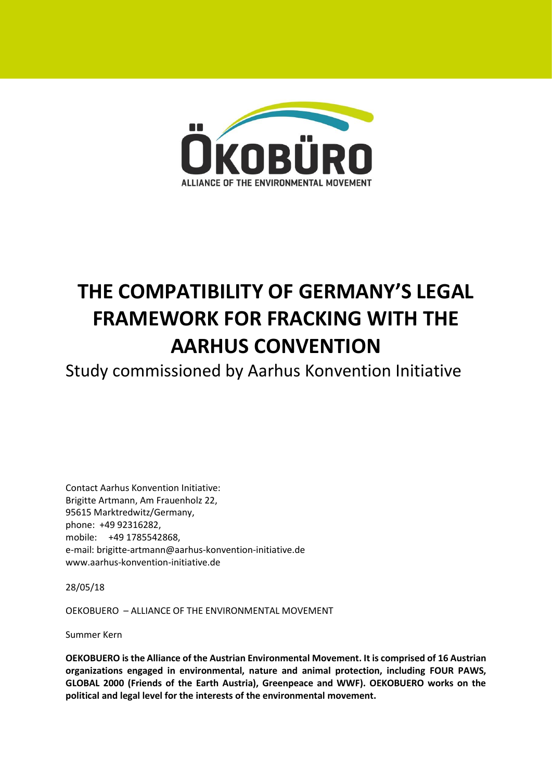

# **THE COMPATIBILITY OF GERMANY'S LEGAL FRAMEWORK FOR FRACKING WITH THE AARHUS CONVENTION**

Study commissioned by Aarhus Konvention Initiative

Contact Aarhus Konvention Initiative: Brigitte Artmann, Am Frauenholz 22, 95615 Marktredwitz/Germany, phone: +49 92316282, mobile: +49 1785542868, e-mail: brigitte-artmann@aarhus-konvention-initiative.de www.aarhus-konvention-initiative.de

28/05/18

OEKOBUERO – ALLIANCE OF THE ENVIRONMENTAL MOVEMENT

Summer Kern

**OEKOBUERO is the Alliance of the Austrian Environmental Movement. It is comprised of 16 Austrian organizations engaged in environmental, nature and animal protection, including FOUR PAWS, GLOBAL 2000 (Friends of the Earth Austria), Greenpeace and WWF). OEKOBUERO works on the political and legal level for the interests of the environmental movement.**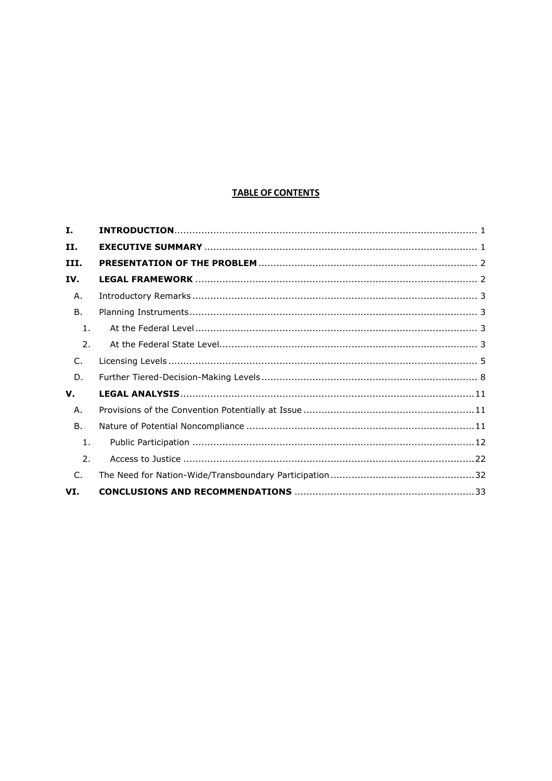## **TABLE OF CONTENTS**

| Ι.               |  |
|------------------|--|
| II.              |  |
| III.             |  |
| IV.              |  |
| Α.               |  |
| В.               |  |
| 1.               |  |
| 2.               |  |
| C.               |  |
| D.               |  |
| v.               |  |
| Α.               |  |
| B.               |  |
| $\mathbf{1}$ .   |  |
| $\overline{2}$ . |  |
| C.               |  |
| VI.              |  |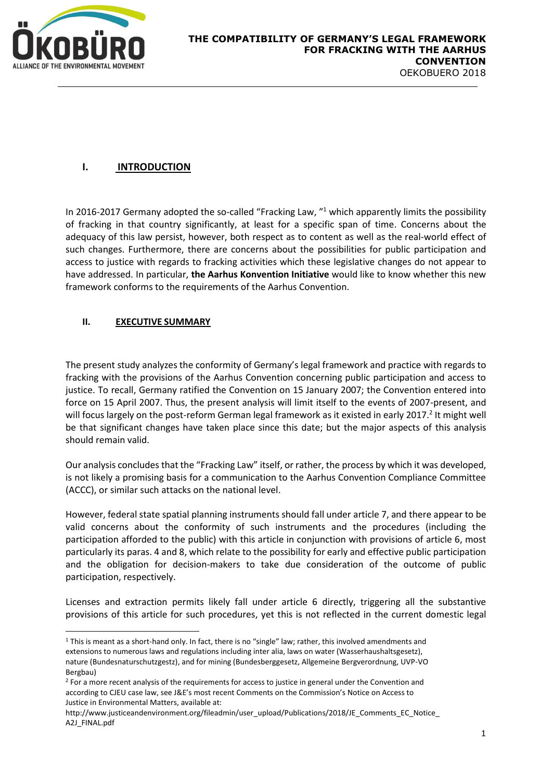

<u>.</u>

# <span id="page-2-0"></span>**I. INTRODUCTION**

In 2016-2017 Germany adopted the so-called "Fracking Law, "<sup>1</sup> which apparently limits the possibility of fracking in that country significantly, at least for a specific span of time. Concerns about the adequacy of this law persist, however, both respect as to content as well as the real-world effect of such changes. Furthermore, there are concerns about the possibilities for public participation and access to justice with regards to fracking activities which these legislative changes do not appear to have addressed. In particular, **the Aarhus Konvention Initiative** would like to know whether this new framework conforms to the requirements of the Aarhus Convention.

## <span id="page-2-1"></span>**II. EXECUTIVE SUMMARY**

The present study analyzes the conformity of Germany's legal framework and practice with regards to fracking with the provisions of the Aarhus Convention concerning public participation and access to justice. To recall, Germany ratified the Convention on 15 January 2007; the Convention entered into force on 15 April 2007. Thus, the present analysis will limit itself to the events of 2007-present, and will focus largely on the post-reform German legal framework as it existed in early 2017.<sup>2</sup> It might well be that significant changes have taken place since this date; but the major aspects of this analysis should remain valid.

Our analysis concludes that the "Fracking Law" itself, or rather, the process by which it was developed, is not likely a promising basis for a communication to the Aarhus Convention Compliance Committee (ACCC), or similar such attacks on the national level.

However, federal state spatial planning instruments should fall under article 7, and there appear to be valid concerns about the conformity of such instruments and the procedures (including the participation afforded to the public) with this article in conjunction with provisions of article 6, most particularly its paras. 4 and 8, which relate to the possibility for early and effective public participation and the obligation for decision-makers to take due consideration of the outcome of public participation, respectively.

Licenses and extraction permits likely fall under article 6 directly, triggering all the substantive provisions of this article for such procedures, yet this is not reflected in the current domestic legal

<sup>1</sup> This is meant as a short-hand only. In fact, there is no "single" law; rather, this involved amendments and extensions to numerous laws and regulations including inter alia, laws on water (Wasserhaushaltsgesetz), nature (Bundesnaturschutzgestz), and for mining (Bundesberggesetz, Allgemeine Bergverordnung, UVP-VO Bergbau)

<sup>&</sup>lt;sup>2</sup> For a more recent analysis of the requirements for access to justice in general under the Convention and according to CJEU case law, see J&E's most recent Comments on the Commission's Notice on Access to Justice in Environmental Matters, available at:

http://www.justiceandenvironment.org/fileadmin/user\_upload/Publications/2018/JE\_Comments\_EC\_Notice\_ A2J\_FINAL.pdf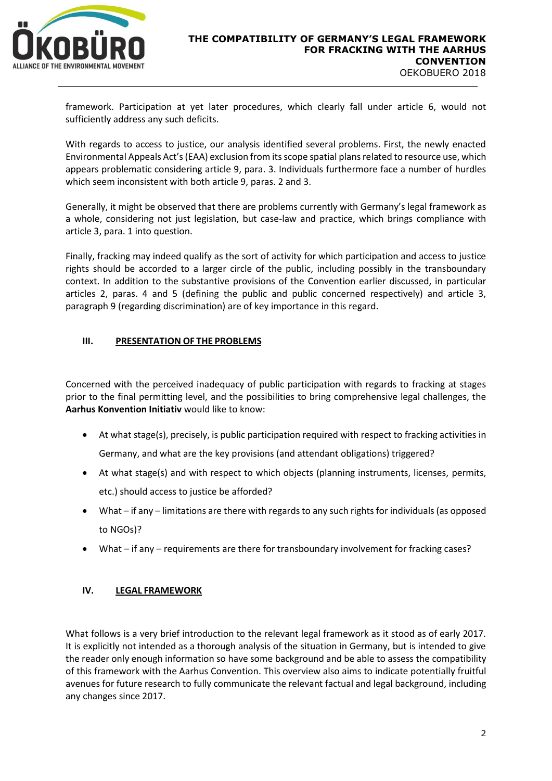

framework. Participation at yet later procedures, which clearly fall under article 6, would not sufficiently address any such deficits.

With regards to access to justice, our analysis identified several problems. First, the newly enacted Environmental Appeals Act's(EAA) exclusion from its scope spatial plans related to resource use, which appears problematic considering article 9, para. 3. Individuals furthermore face a number of hurdles which seem inconsistent with both article 9, paras. 2 and 3.

Generally, it might be observed that there are problems currently with Germany's legal framework as a whole, considering not just legislation, but case-law and practice, which brings compliance with article 3, para. 1 into question.

Finally, fracking may indeed qualify as the sort of activity for which participation and access to justice rights should be accorded to a larger circle of the public, including possibly in the transboundary context. In addition to the substantive provisions of the Convention earlier discussed, in particular articles 2, paras. 4 and 5 (defining the public and public concerned respectively) and article 3, paragraph 9 (regarding discrimination) are of key importance in this regard.

## <span id="page-3-0"></span>**III. PRESENTATION OF THE PROBLEMS**

Concerned with the perceived inadequacy of public participation with regards to fracking at stages prior to the final permitting level, and the possibilities to bring comprehensive legal challenges, the **Aarhus Konvention Initiativ** would like to know:

• At what stage(s), precisely, is public participation required with respect to fracking activities in

Germany, and what are the key provisions (and attendant obligations) triggered?

- At what stage(s) and with respect to which objects (planning instruments, licenses, permits, etc.) should access to justice be afforded?
- What if any limitations are there with regards to any such rights for individuals (as opposed to NGOs)?
- What if any requirements are there for transboundary involvement for fracking cases?

## <span id="page-3-1"></span>**IV. LEGAL FRAMEWORK**

What follows is a very brief introduction to the relevant legal framework as it stood as of early 2017. It is explicitly not intended as a thorough analysis of the situation in Germany, but is intended to give the reader only enough information so have some background and be able to assess the compatibility of this framework with the Aarhus Convention. This overview also aims to indicate potentially fruitful avenues for future research to fully communicate the relevant factual and legal background, including any changes since 2017.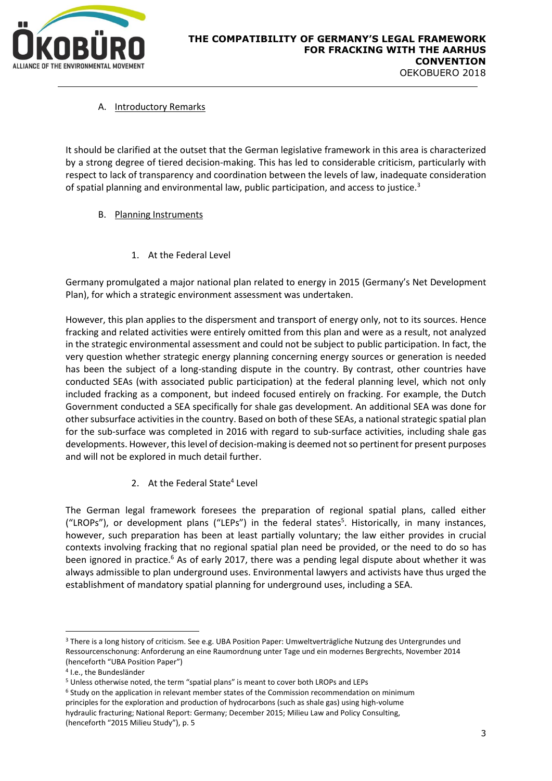

## <span id="page-4-0"></span>A. Introductory Remarks

It should be clarified at the outset that the German legislative framework in this area is characterized by a strong degree of tiered decision-making. This has led to considerable criticism, particularly with respect to lack of transparency and coordination between the levels of law, inadequate consideration of spatial planning and environmental law, public participation, and access to justice. $3$ 

## <span id="page-4-1"></span>B. Planning Instruments

1. At the Federal Level

<span id="page-4-2"></span>Germany promulgated a major national plan related to energy in 2015 (Germany's Net Development Plan), for which a strategic environment assessment was undertaken.

However, this plan applies to the dispersment and transport of energy only, not to its sources. Hence fracking and related activities were entirely omitted from this plan and were as a result, not analyzed in the strategic environmental assessment and could not be subject to public participation. In fact, the very question whether strategic energy planning concerning energy sources or generation is needed has been the subject of a long-standing dispute in the country. By contrast, other countries have conducted SEAs (with associated public participation) at the federal planning level, which not only included fracking as a component, but indeed focused entirely on fracking. For example, the Dutch Government conducted a SEA specifically for shale gas development. An additional SEA was done for other subsurface activities in the country. Based on both of these SEAs, a national strategic spatial plan for the sub-surface was completed in 2016 with regard to sub-surface activities, including shale gas developments. However, this level of decision-making is deemed not so pertinent for present purposes and will not be explored in much detail further.

2. At the Federal State<sup>4</sup> Level

<span id="page-4-3"></span>The German legal framework foresees the preparation of regional spatial plans, called either ("LROPs"), or development plans ("LEPs") in the federal states<sup>5</sup>. Historically, in many instances, however, such preparation has been at least partially voluntary; the law either provides in crucial contexts involving fracking that no regional spatial plan need be provided, or the need to do so has been ignored in practice.<sup>6</sup> As of early 2017, there was a pending legal dispute about whether it was always admissible to plan underground uses. Environmental lawyers and activists have thus urged the establishment of mandatory spatial planning for underground uses, including a SEA.

<sup>3</sup> There is a long history of criticism. See e.g. UBA Position Paper: Umweltverträgliche Nutzung des Untergrundes und Ressourcenschonung: Anforderung an eine Raumordnung unter Tage und ein modernes Bergrechts, November 2014 (henceforth "UBA Position Paper")

<sup>4</sup> I.e., the Bundesländer

<sup>5</sup> Unless otherwise noted, the term "spatial plans" is meant to cover both LROPs and LEPs

<sup>6</sup> Study on the application in relevant member states of the Commission recommendation on minimum principles for the exploration and production of hydrocarbons (such as shale gas) using high-volume hydraulic fracturing; National Report: Germany; December 2015; Milieu Law and Policy Consulting, (henceforth "2015 Milieu Study"), p. 5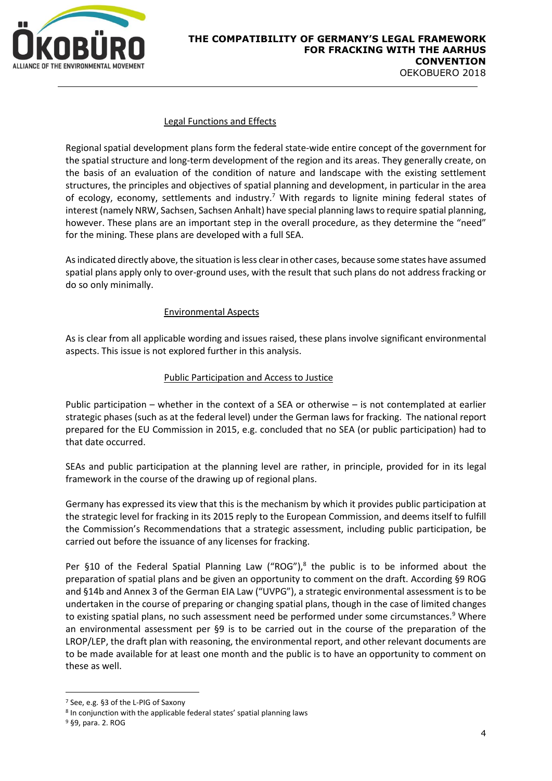

## Legal Functions and Effects

Regional spatial development plans form the federal state-wide entire concept of the government for the spatial structure and long-term development of the region and its areas. They generally create, on the basis of an evaluation of the condition of nature and landscape with the existing settlement structures, the principles and objectives of spatial planning and development, in particular in the area of ecology, economy, settlements and industry.<sup>7</sup> With regards to lignite mining federal states of interest (namely NRW, Sachsen, Sachsen Anhalt) have special planning laws to require spatial planning, however. These plans are an important step in the overall procedure, as they determine the "need" for the mining. These plans are developed with a full SEA.

As indicated directly above, the situation is less clear in other cases, because some states have assumed spatial plans apply only to over-ground uses, with the result that such plans do not address fracking or do so only minimally.

## Environmental Aspects

As is clear from all applicable wording and issues raised, these plans involve significant environmental aspects. This issue is not explored further in this analysis.

## Public Participation and Access to Justice

Public participation – whether in the context of a SEA or otherwise – is not contemplated at earlier strategic phases (such as at the federal level) under the German laws for fracking. The national report prepared for the EU Commission in 2015, e.g. concluded that no SEA (or public participation) had to that date occurred.

SEAs and public participation at the planning level are rather, in principle, provided for in its legal framework in the course of the drawing up of regional plans.

Germany has expressed its view that this is the mechanism by which it provides public participation at the strategic level for fracking in its 2015 reply to the European Commission, and deems itself to fulfill the Commission's Recommendations that a strategic assessment, including public participation, be carried out before the issuance of any licenses for fracking.

Per §10 of the Federal Spatial Planning Law ("ROG"), $^8$  the public is to be informed about the preparation of spatial plans and be given an opportunity to comment on the draft. According §9 ROG and §14b and Annex 3 of the German EIA Law ("UVPG"), a strategic environmental assessment is to be undertaken in the course of preparing or changing spatial plans, though in the case of limited changes to existing spatial plans, no such assessment need be performed under some circumstances.<sup>9</sup> Where an environmental assessment per §9 is to be carried out in the course of the preparation of the LROP/LEP, the draft plan with reasoning, the environmental report, and other relevant documents are to be made available for at least one month and the public is to have an opportunity to comment on these as well.

<sup>1</sup> <sup>7</sup> See, e.g. §3 of the L-PIG of Saxony

<sup>&</sup>lt;sup>8</sup> In conjunction with the applicable federal states' spatial planning laws

<sup>9</sup> §9, para. 2. ROG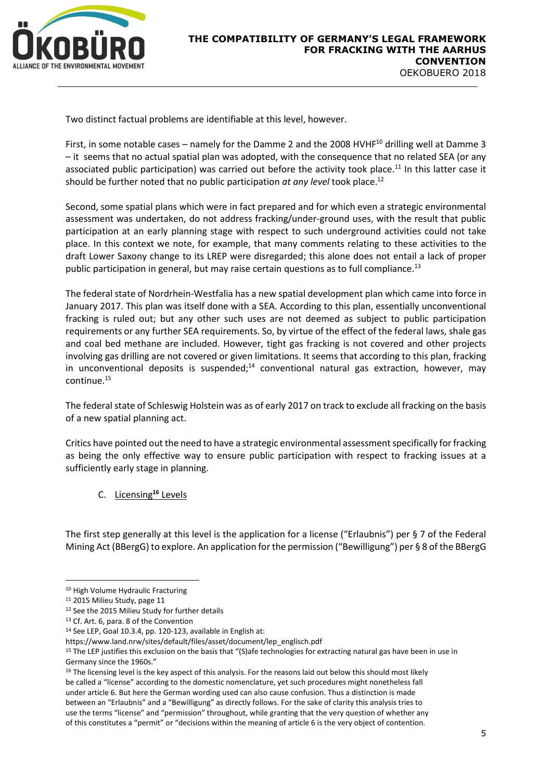

Two distinct factual problems are identifiable at this level, however.

First, in some notable cases – namely for the Damme 2 and the 2008 HVHF $^{10}$  drilling well at Damme 3 – it seems that no actual spatial plan was adopted, with the consequence that no related SEA (or any associated public participation) was carried out before the activity took place.<sup>11</sup> In this latter case it should be further noted that no public participation *at any level* took place.<sup>12</sup>

Second, some spatial plans which were in fact prepared and for which even a strategic environmental assessment was undertaken, do not address fracking/under-ground uses, with the result that public participation at an early planning stage with respect to such underground activities could not take place. In this context we note, for example, that many comments relating to these activities to the draft Lower Saxony change to its LREP were disregarded; this alone does not entail a lack of proper public participation in general, but may raise certain questions as to full compliance.<sup>13</sup>

The federal state of Nordrhein-Westfalia has a new spatial development plan which came into force in January 2017. This plan was itself done with a SEA. According to this plan, essentially unconventional fracking is ruled out; but any other such uses are not deemed as subject to public participation requirements or any further SEA requirements. So, by virtue of the effect of the federal laws, shale gas and coal bed methane are included. However, tight gas fracking is not covered and other projects involving gas drilling are not covered or given limitations. It seems that according to this plan, fracking in unconventional deposits is suspended; $14$  conventional natural gas extraction, however, may continue.<sup>15</sup>

The federal state of Schleswig Holstein was as of early 2017 on track to exclude all fracking on the basis of a new spatial planning act.

Critics have pointed out the need to have a strategic environmental assessment specifically for fracking as being the only effective way to ensure public participation with respect to fracking issues at a sufficiently early stage in planning.

<span id="page-6-0"></span>C. Licensing**<sup>16</sup>** Levels

The first step generally at this level is the application for a license ("Erlaubnis") per § 7 of the Federal Mining Act (BBergG) to explore. An application for the permission ("Bewilligung") per § 8 of the BBergG

<sup>10</sup> High Volume Hydraulic Fracturing

<sup>11</sup> 2015 Milieu Study, page 11

<sup>12</sup> See the 2015 Milieu Study for further details

<sup>13</sup> Cf. Art. 6, para. 8 of the Convention

<sup>14</sup> See LEP, Goal 10.3.4, pp. 120-123, available in English at:

https://www.land.nrw/sites/default/files/asset/document/lep\_englisch.pdf

<sup>&</sup>lt;sup>15</sup> The LEP justifies this exclusion on the basis that "(S)afe technologies for extracting natural gas have been in use in Germany since the 1960s."

<sup>&</sup>lt;sup>16</sup> The licensing level is the key aspect of this analysis. For the reasons laid out below this should most likely be called a "license" according to the domestic nomenclature, yet such procedures might nonetheless fall under article 6. But here the German wording used can also cause confusion. Thus a distinction is made between an "Erlaubnis" and a "Bewilligung" as directly follows. For the sake of clarity this analysis tries to use the terms "license" and "permission" throughout, while granting that the very question of whether any of this constitutes a "permit" or "decisions within the meaning of article 6 is the very object of contention.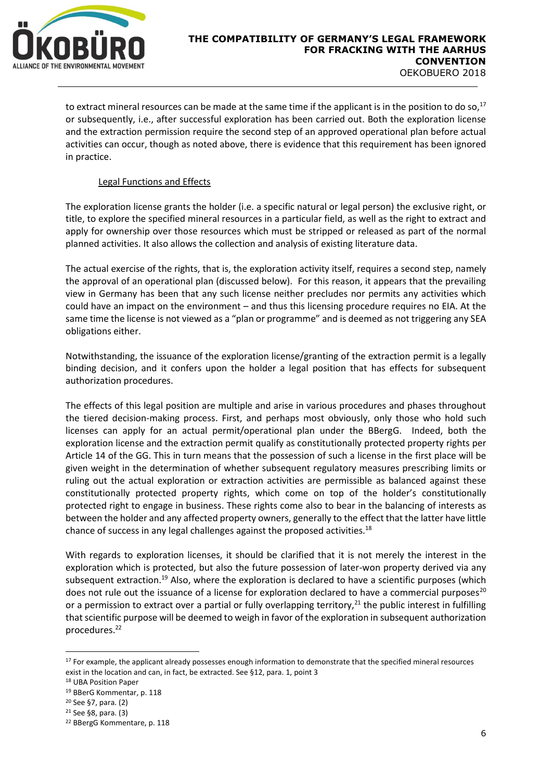

to extract mineral resources can be made at the same time if the applicant is in the position to do so,<sup>17</sup> or subsequently, i.e., after successful exploration has been carried out. Both the exploration license and the extraction permission require the second step of an approved operational plan before actual activities can occur, though as noted above, there is evidence that this requirement has been ignored in practice.

## Legal Functions and Effects

The exploration license grants the holder (i.e. a specific natural or legal person) the exclusive right, or title, to explore the specified mineral resources in a particular field, as well as the right to extract and apply for ownership over those resources which must be stripped or released as part of the normal planned activities. It also allows the collection and analysis of existing literature data.

The actual exercise of the rights, that is, the exploration activity itself, requires a second step, namely the approval of an operational plan (discussed below). For this reason, it appears that the prevailing view in Germany has been that any such license neither precludes nor permits any activities which could have an impact on the environment – and thus this licensing procedure requires no EIA. At the same time the license is not viewed as a "plan or programme" and is deemed as not triggering any SEA obligations either.

Notwithstanding, the issuance of the exploration license/granting of the extraction permit is a legally binding decision, and it confers upon the holder a legal position that has effects for subsequent authorization procedures.

The effects of this legal position are multiple and arise in various procedures and phases throughout the tiered decision-making process. First, and perhaps most obviously, only those who hold such licenses can apply for an actual permit/operational plan under the BBergG. Indeed, both the exploration license and the extraction permit qualify as constitutionally protected property rights per Article 14 of the GG. This in turn means that the possession of such a license in the first place will be given weight in the determination of whether subsequent regulatory measures prescribing limits or ruling out the actual exploration or extraction activities are permissible as balanced against these constitutionally protected property rights, which come on top of the holder's constitutionally protected right to engage in business. These rights come also to bear in the balancing of interests as between the holder and any affected property owners, generally to the effect that the latter have little chance of success in any legal challenges against the proposed activities.<sup>18</sup>

With regards to exploration licenses, it should be clarified that it is not merely the interest in the exploration which is protected, but also the future possession of later-won property derived via any subsequent extraction.<sup>19</sup> Also, where the exploration is declared to have a scientific purposes (which does not rule out the issuance of a license for exploration declared to have a commercial purposes $^{20}$ or a permission to extract over a partial or fully overlapping territory,<sup>21</sup> the public interest in fulfilling that scientific purpose will be deemed to weigh in favor of the exploration in subsequent authorization procedures.<sup>22</sup>

<sup>&</sup>lt;sup>17</sup> For example, the applicant already possesses enough information to demonstrate that the specified mineral resources exist in the location and can, in fact, be extracted. See §12, para. 1, point 3

<sup>18</sup> UBA Position Paper

<sup>19</sup> BBerG Kommentar, p. 118

<sup>20</sup> See §7, para. (2)

<sup>21</sup> See §8, para. (3)

<sup>22</sup> BBergG Kommentare, p. 118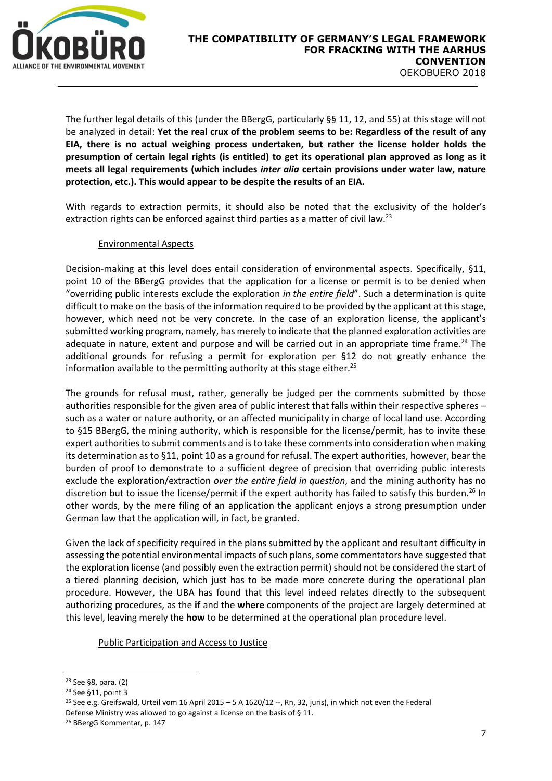

The further legal details of this (under the BBergG, particularly §§ 11, 12, and 55) at this stage will not be analyzed in detail: **Yet the real crux of the problem seems to be: Regardless of the result of any EIA, there is no actual weighing process undertaken, but rather the license holder holds the presumption of certain legal rights (is entitled) to get its operational plan approved as long as it meets all legal requirements (which includes** *inter alia* **certain provisions under water law, nature protection, etc.). This would appear to be despite the results of an EIA.**

With regards to extraction permits, it should also be noted that the exclusivity of the holder's extraction rights can be enforced against third parties as a matter of civil law.<sup>23</sup>

## Environmental Aspects

Decision-making at this level does entail consideration of environmental aspects. Specifically, §11, point 10 of the BBergG provides that the application for a license or permit is to be denied when "overriding public interests exclude the exploration *in the entire field*". Such a determination is quite difficult to make on the basis of the information required to be provided by the applicant at this stage, however, which need not be very concrete. In the case of an exploration license, the applicant's submitted working program, namely, has merely to indicate that the planned exploration activities are adequate in nature, extent and purpose and will be carried out in an appropriate time frame.<sup>24</sup> The additional grounds for refusing a permit for exploration per §12 do not greatly enhance the information available to the permitting authority at this stage either.<sup>25</sup>

The grounds for refusal must, rather, generally be judged per the comments submitted by those authorities responsible for the given area of public interest that falls within their respective spheres – such as a water or nature authority, or an affected municipality in charge of local land use. According to §15 BBergG, the mining authority, which is responsible for the license/permit, has to invite these expert authorities to submit comments and is to take these comments into consideration when making its determination as to §11, point 10 as a ground for refusal. The expert authorities, however, bear the burden of proof to demonstrate to a sufficient degree of precision that overriding public interests exclude the exploration/extraction *over the entire field in question*, and the mining authority has no discretion but to issue the license/permit if the expert authority has failed to satisfy this burden.<sup>26</sup> In other words, by the mere filing of an application the applicant enjoys a strong presumption under German law that the application will, in fact, be granted.

Given the lack of specificity required in the plans submitted by the applicant and resultant difficulty in assessing the potential environmental impacts of such plans, some commentators have suggested that the exploration license (and possibly even the extraction permit) should not be considered the start of a tiered planning decision, which just has to be made more concrete during the operational plan procedure. However, the UBA has found that this level indeed relates directly to the subsequent authorizing procedures, as the **if** and the **where** components of the project are largely determined at this level, leaving merely the **how** to be determined at the operational plan procedure level.

## Public Participation and Access to Justice

<sup>23</sup> See §8, para. (2)

<sup>24</sup> See §11, point 3

<sup>&</sup>lt;sup>25</sup> See e.g. Greifswald, Urteil vom 16 April 2015 – 5 A 1620/12 --, Rn, 32, juris), in which not even the Federal

Defense Ministry was allowed to go against a license on the basis of § 11.

<sup>26</sup> BBergG Kommentar, p. 147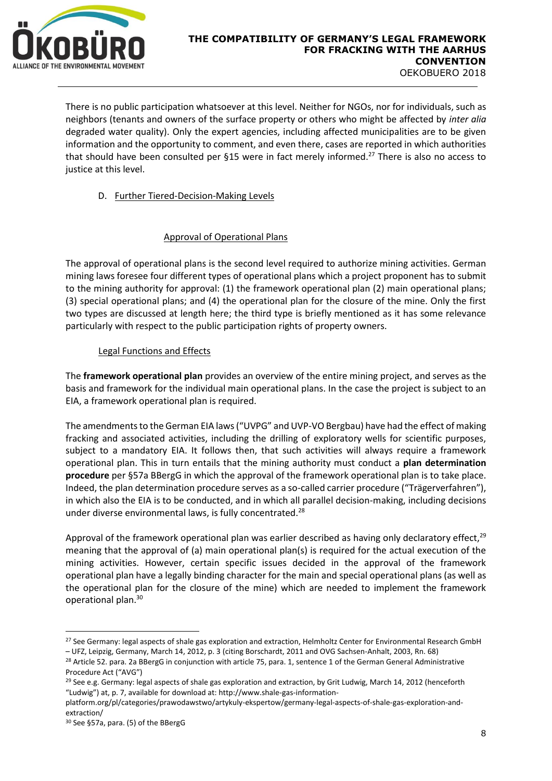

There is no public participation whatsoever at this level. Neither for NGOs, nor for individuals, such as neighbors (tenants and owners of the surface property or others who might be affected by *inter alia*  degraded water quality). Only the expert agencies, including affected municipalities are to be given information and the opportunity to comment, and even there, cases are reported in which authorities that should have been consulted per §15 were in fact merely informed.<sup>27</sup> There is also no access to justice at this level.

## <span id="page-9-0"></span>D. Further Tiered-Decision-Making Levels

## Approval of Operational Plans

The approval of operational plans is the second level required to authorize mining activities. German mining laws foresee four different types of operational plans which a project proponent has to submit to the mining authority for approval: (1) the framework operational plan (2) main operational plans; (3) special operational plans; and (4) the operational plan for the closure of the mine. Only the first two types are discussed at length here; the third type is briefly mentioned as it has some relevance particularly with respect to the public participation rights of property owners.

## Legal Functions and Effects

The **framework operational plan** provides an overview of the entire mining project, and serves as the basis and framework for the individual main operational plans. In the case the project is subject to an EIA, a framework operational plan is required.

The amendments to the German EIA laws ("UVPG" and UVP-VO Bergbau) have had the effect of making fracking and associated activities, including the drilling of exploratory wells for scientific purposes, subject to a mandatory EIA. It follows then, that such activities will always require a framework operational plan. This in turn entails that the mining authority must conduct a **plan determination procedure** per §57a BBergG in which the approval of the framework operational plan is to take place. Indeed, the plan determination procedure serves as a so-called carrier procedure ("Trägerverfahren"), in which also the EIA is to be conducted, and in which all parallel decision-making, including decisions under diverse environmental laws, is fully concentrated.<sup>28</sup>

Approval of the framework operational plan was earlier described as having only declaratory effect, $2^9$ meaning that the approval of (a) main operational plan(s) is required for the actual execution of the mining activities. However, certain specific issues decided in the approval of the framework operational plan have a legally binding character for the main and special operational plans (as well as the operational plan for the closure of the mine) which are needed to implement the framework operational plan.<sup>30</sup>

<sup>&</sup>lt;sup>27</sup> See Germany: legal aspects of shale gas exploration and extraction, Helmholtz Center for Environmental Research GmbH – UFZ, Leipzig, Germany, March 14, 2012, p. 3 (citing Borschardt, 2011 and OVG Sachsen-Anhalt, 2003, Rn. 68)

<sup>&</sup>lt;sup>28</sup> Article 52. para. 2a BBergG in conjunction with article 75, para. 1, sentence 1 of the German General Administrative Procedure Act ("AVG")

<sup>&</sup>lt;sup>29</sup> See e.g. Germany: legal aspects of shale gas exploration and extraction, by Grit Ludwig, March 14, 2012 (henceforth "Ludwig") at, p. 7, available for download at: http://www.shale-gas-information-

platform.org/pl/categories/prawodawstwo/artykuly-ekspertow/germany-legal-aspects-of-shale-gas-exploration-andextraction/

<sup>30</sup> See §57a, para. (5) of the BBergG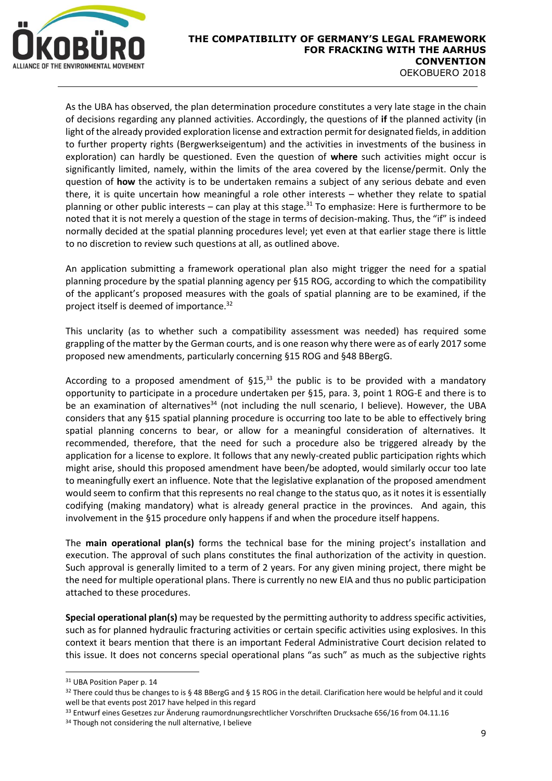

As the UBA has observed, the plan determination procedure constitutes a very late stage in the chain of decisions regarding any planned activities. Accordingly, the questions of **if** the planned activity (in light of the already provided exploration license and extraction permit for designated fields, in addition to further property rights (Bergwerkseigentum) and the activities in investments of the business in exploration) can hardly be questioned. Even the question of **where** such activities might occur is significantly limited, namely, within the limits of the area covered by the license/permit. Only the question of **how** the activity is to be undertaken remains a subject of any serious debate and even there, it is quite uncertain how meaningful a role other interests – whether they relate to spatial planning or other public interests – can play at this stage.<sup>31</sup> To emphasize: Here is furthermore to be noted that it is not merely a question of the stage in terms of decision-making. Thus, the "if" is indeed normally decided at the spatial planning procedures level; yet even at that earlier stage there is little to no discretion to review such questions at all, as outlined above.

An application submitting a framework operational plan also might trigger the need for a spatial planning procedure by the spatial planning agency per §15 ROG, according to which the compatibility of the applicant's proposed measures with the goals of spatial planning are to be examined, if the project itself is deemed of importance.<sup>32</sup>

This unclarity (as to whether such a compatibility assessment was needed) has required some grappling of the matter by the German courts, and is one reason why there were as of early 2017 some proposed new amendments, particularly concerning §15 ROG and §48 BBergG.

According to a proposed amendment of  $§15<sup>33</sup>$  the public is to be provided with a mandatory opportunity to participate in a procedure undertaken per §15, para. 3, point 1 ROG-E and there is to be an examination of alternatives<sup>34</sup> (not including the null scenario, I believe). However, the UBA considers that any §15 spatial planning procedure is occurring too late to be able to effectively bring spatial planning concerns to bear, or allow for a meaningful consideration of alternatives. It recommended, therefore, that the need for such a procedure also be triggered already by the application for a license to explore. It follows that any newly-created public participation rights which might arise, should this proposed amendment have been/be adopted, would similarly occur too late to meaningfully exert an influence. Note that the legislative explanation of the proposed amendment would seem to confirm that this represents no real change to the status quo, as it notes it is essentially codifying (making mandatory) what is already general practice in the provinces. And again, this involvement in the §15 procedure only happens if and when the procedure itself happens.

The **main operational plan(s)** forms the technical base for the mining project's installation and execution. The approval of such plans constitutes the final authorization of the activity in question. Such approval is generally limited to a term of 2 years. For any given mining project, there might be the need for multiple operational plans. There is currently no new EIA and thus no public participation attached to these procedures.

**Special operational plan(s)** may be requested by the permitting authority to address specific activities, such as for planned hydraulic fracturing activities or certain specific activities using explosives. In this context it bears mention that there is an important Federal Administrative Court decision related to this issue. It does not concerns special operational plans "as such" as much as the subjective rights

<sup>&</sup>lt;sup>31</sup> UBA Position Paper p. 14

 $32$  There could thus be changes to is § 48 BBergG and § 15 ROG in the detail. Clarification here would be helpful and it could well be that events post 2017 have helped in this regard

<sup>33</sup> Entwurf eines Gesetzes zur Änderung raumordnungsrechtlicher Vorschriften Drucksache 656/16 from 04.11.16

<sup>&</sup>lt;sup>34</sup> Though not considering the null alternative, I believe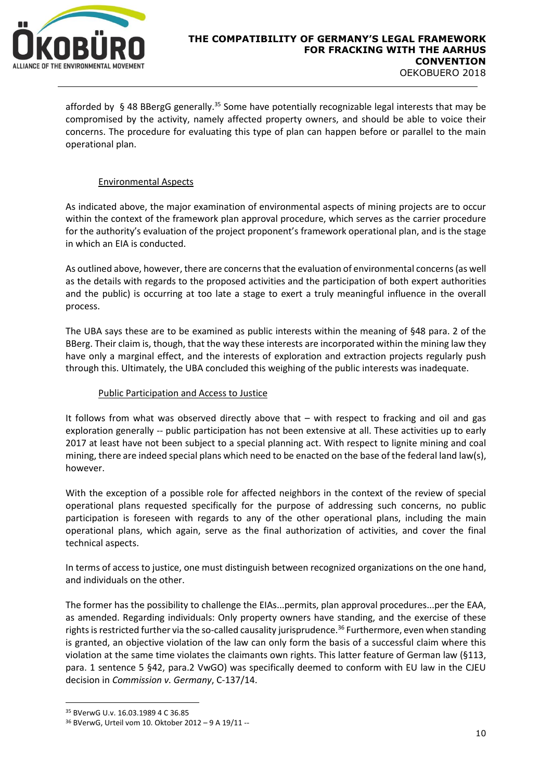

afforded by § 48 BBergG generally.<sup>35</sup> Some have potentially recognizable legal interests that may be compromised by the activity, namely affected property owners, and should be able to voice their concerns. The procedure for evaluating this type of plan can happen before or parallel to the main operational plan.

## Environmental Aspects

As indicated above, the major examination of environmental aspects of mining projects are to occur within the context of the framework plan approval procedure, which serves as the carrier procedure for the authority's evaluation of the project proponent's framework operational plan, and is the stage in which an EIA is conducted.

As outlined above, however, there are concerns that the evaluation of environmental concerns (as well as the details with regards to the proposed activities and the participation of both expert authorities and the public) is occurring at too late a stage to exert a truly meaningful influence in the overall process.

The UBA says these are to be examined as public interests within the meaning of §48 para. 2 of the BBerg. Their claim is, though, that the way these interests are incorporated within the mining law they have only a marginal effect, and the interests of exploration and extraction projects regularly push through this. Ultimately, the UBA concluded this weighing of the public interests was inadequate.

## Public Participation and Access to Justice

It follows from what was observed directly above that – with respect to fracking and oil and gas exploration generally -- public participation has not been extensive at all. These activities up to early 2017 at least have not been subject to a special planning act. With respect to lignite mining and coal mining, there are indeed special plans which need to be enacted on the base of the federal land law(s), however.

With the exception of a possible role for affected neighbors in the context of the review of special operational plans requested specifically for the purpose of addressing such concerns, no public participation is foreseen with regards to any of the other operational plans, including the main operational plans, which again, serve as the final authorization of activities, and cover the final technical aspects.

In terms of access to justice, one must distinguish between recognized organizations on the one hand, and individuals on the other.

The former has the possibility to challenge the EIAs...permits, plan approval procedures...per the EAA, as amended. Regarding individuals: Only property owners have standing, and the exercise of these rights is restricted further via the so-called causality jurisprudence.<sup>36</sup> Furthermore, even when standing is granted, an objective violation of the law can only form the basis of a successful claim where this violation at the same time violates the claimants own rights. This latter feature of German law (§113, para. 1 sentence 5 §42, para.2 VwGO) was specifically deemed to conform with EU law in the CJEU decision in *Commission v. Germany*, C-137/14.

<sup>35</sup> BVerwG U.v. 16.03.1989 4 C 36.85

<sup>36</sup> BVerwG, Urteil vom 10. Oktober 2012 – 9 A 19/11 --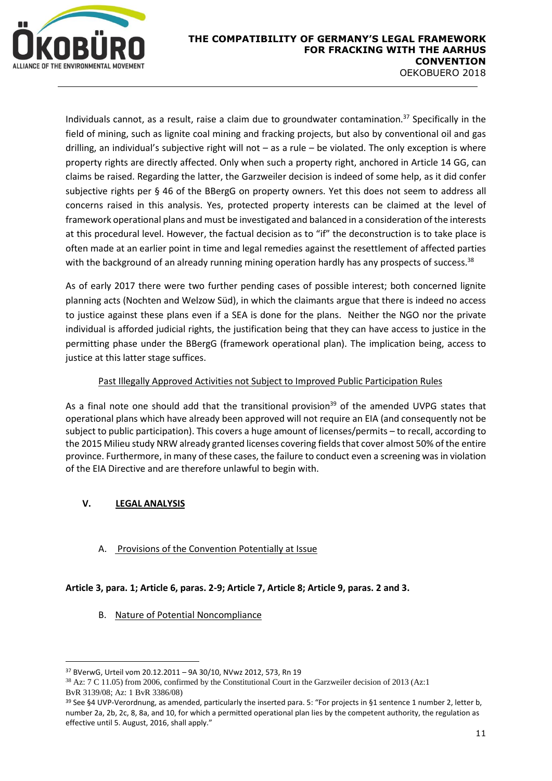

Individuals cannot, as a result, raise a claim due to groundwater contamination.<sup>37</sup> Specifically in the field of mining, such as lignite coal mining and fracking projects, but also by conventional oil and gas drilling, an individual's subjective right will not – as a rule – be violated. The only exception is where property rights are directly affected. Only when such a property right, anchored in Article 14 GG, can claims be raised. Regarding the latter, the Garzweiler decision is indeed of some help, as it did confer subjective rights per § 46 of the BBergG on property owners. Yet this does not seem to address all concerns raised in this analysis. Yes, protected property interests can be claimed at the level of framework operational plans and must be investigated and balanced in a consideration of the interests at this procedural level. However, the factual decision as to "if" the deconstruction is to take place is often made at an earlier point in time and legal remedies against the resettlement of affected parties with the background of an already running mining operation hardly has any prospects of success.<sup>38</sup>

As of early 2017 there were two further pending cases of possible interest; both concerned lignite planning acts (Nochten and Welzow Süd), in which the claimants argue that there is indeed no access to justice against these plans even if a SEA is done for the plans. Neither the NGO nor the private individual is afforded judicial rights, the justification being that they can have access to justice in the permitting phase under the BBergG (framework operational plan). The implication being, access to justice at this latter stage suffices.

## Past Illegally Approved Activities not Subject to Improved Public Participation Rules

As a final note one should add that the transitional provision<sup>39</sup> of the amended UVPG states that operational plans which have already been approved will not require an EIA (and consequently not be subject to public participation). This covers a huge amount of licenses/permits – to recall, according to the 2015 Milieu study NRW already granted licenses covering fields that cover almost 50% of the entire province. Furthermore, in many of these cases, the failure to conduct even a screening was in violation of the EIA Directive and are therefore unlawful to begin with.

# <span id="page-12-0"></span>**V. LEGAL ANALYSIS**

1

# <span id="page-12-1"></span>A. Provisions of the Convention Potentially at Issue

## <span id="page-12-2"></span>**Article 3, para. 1; Article 6, paras. 2-9; Article 7, Article 8; Article 9, paras. 2 and 3.**

B. Nature of Potential Noncompliance

<sup>37</sup> BVerwG, Urteil vom 20.12.2011 – 9A 30/10, NVwz 2012, 573, Rn 19

<sup>38</sup> Az: 7 C 11.05) from 2006, confirmed by the Constitutional Court in the Garzweiler decision of 2013 (Az:1 BvR 3139/08; Az: 1 BvR 3386/08)

<sup>39</sup> See §4 UVP-Verordnung, as amended, particularly the inserted para. 5: "For projects in §1 sentence 1 number 2, letter b, number 2a, 2b, 2c, 8, 8a, and 10, for which a permitted operational plan lies by the competent authority, the regulation as effective until 5. August, 2016, shall apply."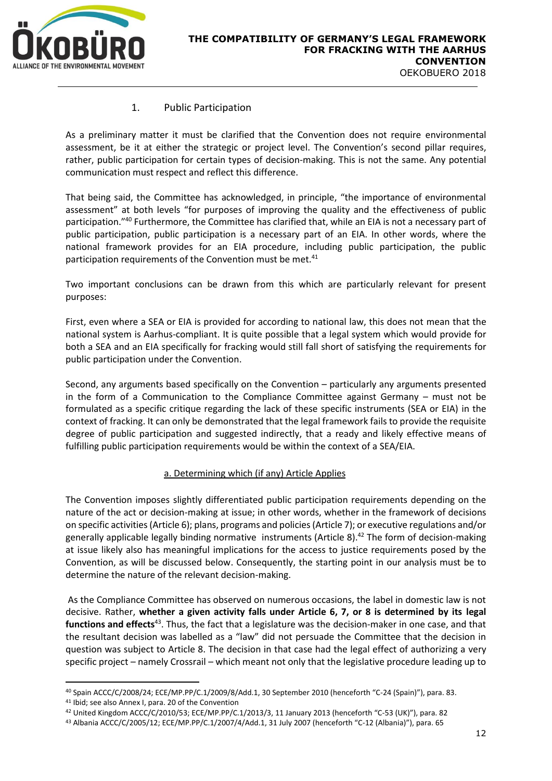

1. Public Participation

<span id="page-13-0"></span>As a preliminary matter it must be clarified that the Convention does not require environmental assessment, be it at either the strategic or project level. The Convention's second pillar requires, rather, public participation for certain types of decision-making. This is not the same. Any potential communication must respect and reflect this difference.

That being said, the Committee has acknowledged, in principle, "the importance of environmental assessment" at both levels "for purposes of improving the quality and the effectiveness of public participation."<sup>40</sup> Furthermore, the Committee has clarified that, while an EIA is not a necessary part of public participation, public participation is a necessary part of an EIA. In other words, where the national framework provides for an EIA procedure, including public participation, the public participation requirements of the Convention must be met.<sup>41</sup>

Two important conclusions can be drawn from this which are particularly relevant for present purposes:

First, even where a SEA or EIA is provided for according to national law, this does not mean that the national system is Aarhus-compliant. It is quite possible that a legal system which would provide for both a SEA and an EIA specifically for fracking would still fall short of satisfying the requirements for public participation under the Convention.

Second, any arguments based specifically on the Convention – particularly any arguments presented in the form of a Communication to the Compliance Committee against Germany – must not be formulated as a specific critique regarding the lack of these specific instruments (SEA or EIA) in the context of fracking. It can only be demonstrated that the legal framework fails to provide the requisite degree of public participation and suggested indirectly, that a ready and likely effective means of fulfilling public participation requirements would be within the context of a SEA/EIA.

## a. Determining which (if any) Article Applies

The Convention imposes slightly differentiated public participation requirements depending on the nature of the act or decision-making at issue; in other words, whether in the framework of decisions on specific activities (Article 6); plans, programs and policies (Article 7); or executive regulations and/or generally applicable legally binding normative instruments (Article 8).<sup>42</sup> The form of decision-making at issue likely also has meaningful implications for the access to justice requirements posed by the Convention, as will be discussed below. Consequently, the starting point in our analysis must be to determine the nature of the relevant decision-making.

As the Compliance Committee has observed on numerous occasions, the label in domestic law is not decisive. Rather, **whether a given activity falls under Article 6, 7, or 8 is determined by its legal**  functions and effects<sup>43</sup>. Thus, the fact that a legislature was the decision-maker in one case, and that the resultant decision was labelled as a "law" did not persuade the Committee that the decision in question was subject to Article 8. The decision in that case had the legal effect of authorizing a very specific project – namely Crossrail – which meant not only that the legislative procedure leading up to

<sup>40</sup> Spain ACCC/C/2008/24; ECE/MP.PP/C.1/2009/8/Add.1, 30 September 2010 (henceforth "C-24 (Spain)"), para. 83.

<sup>41</sup> Ibid; see also Annex I, para. 20 of the Convention

<sup>42</sup> United Kingdom ACCC/C/2010/53; ECE/MP.PP/C.1/2013/3, 11 January 2013 (henceforth "C-53 (UK)"), para. 82

<sup>43</sup> Albania ACCC/C/2005/12; ECE/MP.PP/C.1/2007/4/Add.1, 31 July 2007 (henceforth "C-12 (Albania)"), para. 65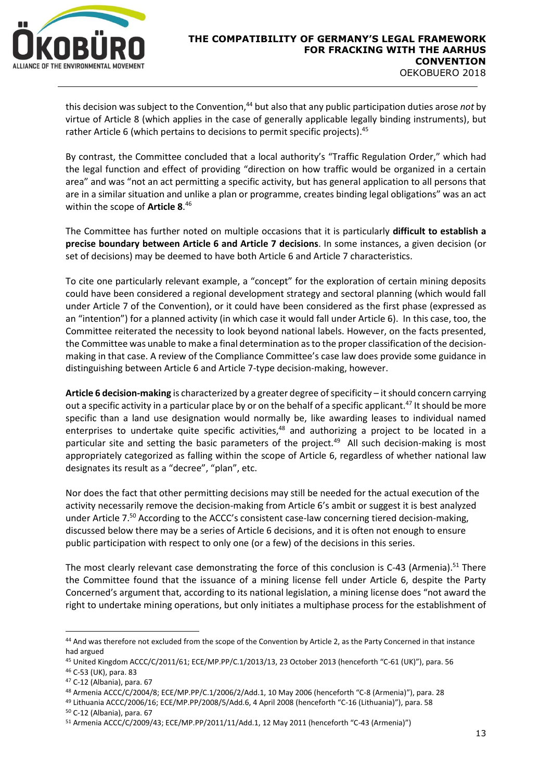

this decision was subject to the Convention,<sup>44</sup> but also that any public participation duties arose *not* by virtue of Article 8 (which applies in the case of generally applicable legally binding instruments), but rather Article 6 (which pertains to decisions to permit specific projects).<sup>45</sup>

By contrast, the Committee concluded that a local authority's "Traffic Regulation Order," which had the legal function and effect of providing "direction on how traffic would be organized in a certain area" and was "not an act permitting a specific activity, but has general application to all persons that are in a similar situation and unlike a plan or programme, creates binding legal obligations" was an act within the scope of **Article 8**. 46

The Committee has further noted on multiple occasions that it is particularly **difficult to establish a precise boundary between Article 6 and Article 7 decisions**. In some instances, a given decision (or set of decisions) may be deemed to have both Article 6 and Article 7 characteristics.

To cite one particularly relevant example, a "concept" for the exploration of certain mining deposits could have been considered a regional development strategy and sectoral planning (which would fall under Article 7 of the Convention), or it could have been considered as the first phase (expressed as an "intention") for a planned activity (in which case it would fall under Article 6). In this case, too, the Committee reiterated the necessity to look beyond national labels. However, on the facts presented, the Committee was unable to make a final determination as to the proper classification of the decisionmaking in that case. A review of the Compliance Committee's case law does provide some guidance in distinguishing between Article 6 and Article 7-type decision-making, however.

**Article 6 decision-making** is characterized by a greater degree of specificity – it should concern carrying out a specific activity in a particular place by or on the behalf of a specific applicant.<sup>47</sup> It should be more specific than a land use designation would normally be, like awarding leases to individual named enterprises to undertake quite specific activities,<sup>48</sup> and authorizing a project to be located in a particular site and setting the basic parameters of the project.<sup>49</sup> All such decision-making is most appropriately categorized as falling within the scope of Article 6, regardless of whether national law designates its result as a "decree", "plan", etc.

Nor does the fact that other permitting decisions may still be needed for the actual execution of the activity necessarily remove the decision-making from Article 6's ambit or suggest it is best analyzed under Article 7.<sup>50</sup> According to the ACCC's consistent case-law concerning tiered decision-making, discussed below there may be a series of Article 6 decisions, and it is often not enough to ensure public participation with respect to only one (or a few) of the decisions in this series.

The most clearly relevant case demonstrating the force of this conclusion is C-43 (Armenia).<sup>51</sup> There the Committee found that the issuance of a mining license fell under Article 6, despite the Party Concerned's argument that, according to its national legislation, a mining license does "not award the right to undertake mining operations, but only initiates a multiphase process for the establishment of

<sup>44</sup> And was therefore not excluded from the scope of the Convention by Article 2, as the Party Concerned in that instance had argued

<sup>45</sup> United Kingdom ACCC/C/2011/61; ECE/MP.PP/C.1/2013/13, 23 October 2013 (henceforth "C-61 (UK)"), para. 56 <sup>46</sup> C-53 (UK), para. 83

<sup>47</sup> C-12 (Albania), para. 67

<sup>48</sup> Armenia ACCC/C/2004/8; ECE/MP.PP/C.1/2006/2/Add.1, 10 May 2006 (henceforth "C-8 (Armenia)"), para. 28

<sup>49</sup> Lithuania ACCC/2006/16; ECE/MP.PP/2008/5/Add.6, 4 April 2008 (henceforth "C-16 (Lithuania)"), para. 58

<sup>50</sup> C-12 (Albania), para. 67

<sup>51</sup> Armenia ACCC/C/2009/43; ECE/MP.PP/2011/11/Add.1, 12 May 2011 (henceforth "C-43 (Armenia)")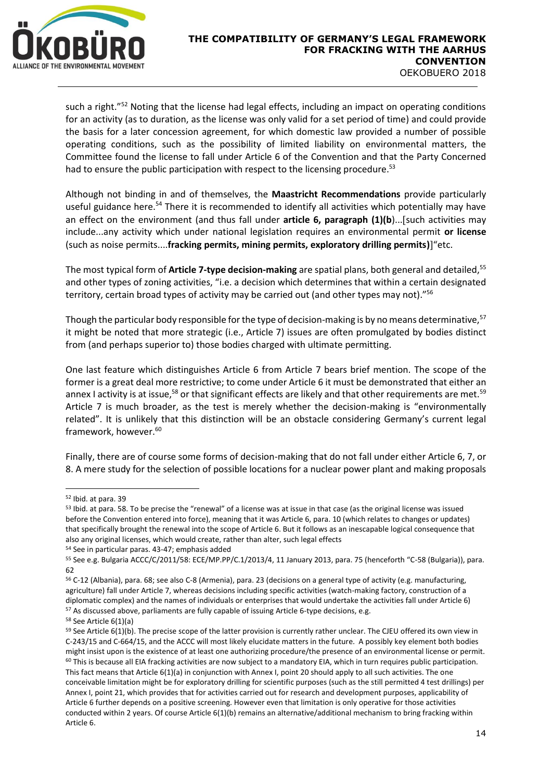

such a right."<sup>52</sup> Noting that the license had legal effects, including an impact on operating conditions for an activity (as to duration, as the license was only valid for a set period of time) and could provide the basis for a later concession agreement, for which domestic law provided a number of possible operating conditions, such as the possibility of limited liability on environmental matters, the Committee found the license to fall under Article 6 of the Convention and that the Party Concerned had to ensure the public participation with respect to the licensing procedure.<sup>53</sup>

Although not binding in and of themselves, the **Maastricht Recommendations** provide particularly useful guidance here.<sup>54</sup> There it is recommended to identify all activities which potentially may have an effect on the environment (and thus fall under **article 6, paragraph (1)(b**)...[such activities may include...any activity which under national legislation requires an environmental permit **or license** (such as noise permits....**fracking permits, mining permits, exploratory drilling permits)**"etc.

The most typical form of **Article 7-type decision-making** are spatial plans, both general and detailed,<sup>55</sup> and other types of zoning activities, "i.e. a decision which determines that within a certain designated territory, certain broad types of activity may be carried out (and other types may not)." 56

Though the particular body responsible for the type of decision-making is by no means determinative,  $57$ it might be noted that more strategic (i.e., Article 7) issues are often promulgated by bodies distinct from (and perhaps superior to) those bodies charged with ultimate permitting.

One last feature which distinguishes Article 6 from Article 7 bears brief mention. The scope of the former is a great deal more restrictive; to come under Article 6 it must be demonstrated that either an annex I activity is at issue,<sup>58</sup> or that significant effects are likely and that other requirements are met.<sup>59</sup> Article 7 is much broader, as the test is merely whether the decision-making is "environmentally related". It is unlikely that this distinction will be an obstacle considering Germany's current legal framework, however. 60

Finally, there are of course some forms of decision-making that do not fall under either Article 6, 7, or 8. A mere study for the selection of possible locations for a nuclear power plant and making proposals

<sup>52</sup> Ibid. at para. 39

<sup>53</sup> Ibid. at para. 58. To be precise the "renewal" of a license was at issue in that case (as the original license was issued before the Convention entered into force), meaning that it was Article 6, para. 10 (which relates to changes or updates) that specifically brought the renewal into the scope of Article 6. But it follows as an inescapable logical consequence that also any original licenses, which would create, rather than alter, such legal effects

<sup>54</sup> See in particular paras. 43-47; emphasis added

<sup>55</sup> See e.g. Bulgaria ACCC/C/2011/58: ECE/MP.PP/C.1/2013/4, 11 January 2013, para. 75 (henceforth "C-58 (Bulgaria)), para. 62

<sup>56</sup> C-12 (Albania), para. 68; see also C-8 (Armenia), para. 23 (decisions on a general type of activity (e.g. manufacturing, agriculture) fall under Article 7, whereas decisions including specific activities (watch-making factory, construction of a diplomatic complex) and the names of individuals or enterprises that would undertake the activities fall under Article 6) <sup>57</sup> As discussed above, parliaments are fully capable of issuing Article 6-type decisions, e.g.

 $58$  See Article  $6(1)(a)$ 

<sup>59</sup> See Article 6(1)(b). The precise scope of the latter provision is currently rather unclear. The CJEU offered its own view in C-243/15 and C-664/15, and the ACCC will most likely elucidate matters in the future. A possibly key element both bodies might insist upon is the existence of at least one authorizing procedure/the presence of an environmental license or permit.  $60$  This is because all EIA fracking activities are now subject to a mandatory EIA, which in turn requires public participation. This fact means that Article 6(1)(a) in conjunction with Annex I, point 20 should apply to all such activities. The one conceivable limitation might be for exploratory drilling for scientific purposes (such as the still permitted 4 test drillings) per Annex I, point 21, which provides that for activities carried out for research and development purposes, applicability of Article 6 further depends on a positive screening. However even that limitation is only operative for those activities conducted within 2 years. Of course Article 6(1)(b) remains an alternative/additional mechanism to bring fracking within Article 6.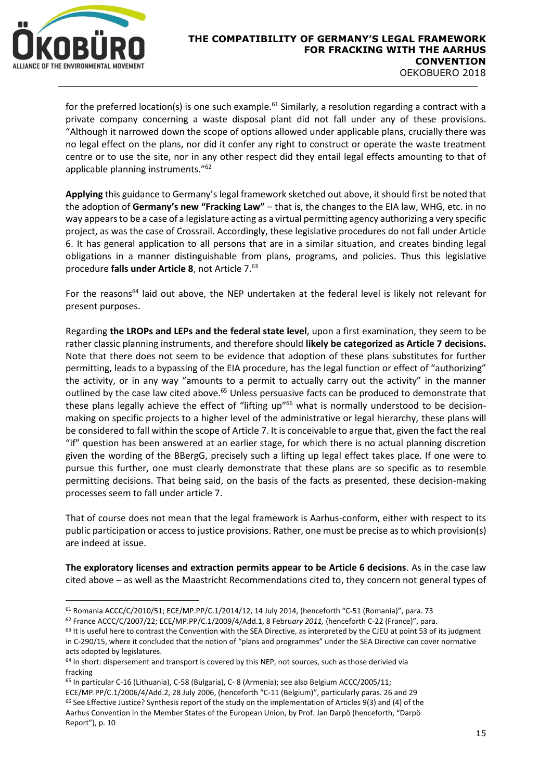

1

for the preferred location(s) is one such example.<sup>61</sup> Similarly, a resolution regarding a contract with a private company concerning a waste disposal plant did not fall under any of these provisions. "Although it narrowed down the scope of options allowed under applicable plans, crucially there was no legal effect on the plans, nor did it confer any right to construct or operate the waste treatment centre or to use the site, nor in any other respect did they entail legal effects amounting to that of applicable planning instruments."<sup>62</sup>

**Applying** this guidance to Germany's legal framework sketched out above, it should first be noted that the adoption of **Germany's new "Fracking Law"** – that is, the changes to the EIA law, WHG, etc. in no way appears to be a case of a legislature acting as a virtual permitting agency authorizing a very specific project, as was the case of Crossrail. Accordingly, these legislative procedures do not fall under Article 6. It has general application to all persons that are in a similar situation, and creates binding legal obligations in a manner distinguishable from plans, programs, and policies. Thus this legislative procedure **falls under Article 8**, not Article 7.<sup>63</sup>

For the reasons<sup>64</sup> laid out above, the NEP undertaken at the federal level is likely not relevant for present purposes.

Regarding **the LROPs and LEPs and the federal state level**, upon a first examination, they seem to be rather classic planning instruments, and therefore should **likely be categorized as Article 7 decisions.** Note that there does not seem to be evidence that adoption of these plans substitutes for further permitting, leads to a bypassing of the EIA procedure, has the legal function or effect of "authorizing" the activity, or in any way "amounts to a permit to actually carry out the activity" in the manner outlined by the case law cited above.<sup>65</sup> Unless persuasive facts can be produced to demonstrate that these plans legally achieve the effect of "lifting up"<sup>66</sup> what is normally understood to be decisionmaking on specific projects to a higher level of the administrative or legal hierarchy, these plans will be considered to fall within the scope of Article 7. It is conceivable to argue that, given the fact the real "if" question has been answered at an earlier stage, for which there is no actual planning discretion given the wording of the BBergG, precisely such a lifting up legal effect takes place. If one were to pursue this further, one must clearly demonstrate that these plans are so specific as to resemble permitting decisions. That being said, on the basis of the facts as presented, these decision-making processes seem to fall under article 7.

That of course does not mean that the legal framework is Aarhus-conform, either with respect to its public participation or access to justice provisions. Rather, one must be precise as to which provision(s) are indeed at issue.

**The exploratory licenses and extraction permits appear to be Article 6 decisions**. As in the case law cited above – as well as the Maastricht Recommendations cited to, they concern not general types of

ECE/MP.PP/C.1/2006/4/Add.2, 28 July 2006, (henceforth "C-11 (Belgium)", particularly paras. 26 and 29 <sup>66</sup> See Effective Justice? Synthesis report of the study on the implementation of Articles 9(3) and (4) of the Aarhus Convention in the Member States of the European Union, by Prof. Jan Darpö (henceforth, "Darpö Report"), p. 10

<sup>61</sup> Romania ACCC/C/2010/51; ECE/MP.PP/C.1/2014/12, 14 July 2014, (henceforth "C-51 (Romania)", para. 73

<sup>62</sup> France ACCC/C/2007/22; ECE/MP.PP/C.1/2009/4/Add.1, 8 Febru*ary 2011,* (henceforth C-22 (France)", para.

<sup>&</sup>lt;sup>63</sup> It is useful here to contrast the Convention with the SEA Directive, as interpreted by the CJEU at point 53 of its judgment in C-290/15, where it concluded that the notion of "plans and programmes" under the SEA Directive can cover normative acts adopted by legislatures.

<sup>&</sup>lt;sup>64</sup> In short: dispersement and transport is covered by this NEP, not sources, such as those derivied via fracking

<sup>65</sup> In particular C-16 (Lithuania), C-58 (Bulgaria), C- 8 (Armenia); see also Belgium ACCC/2005/11;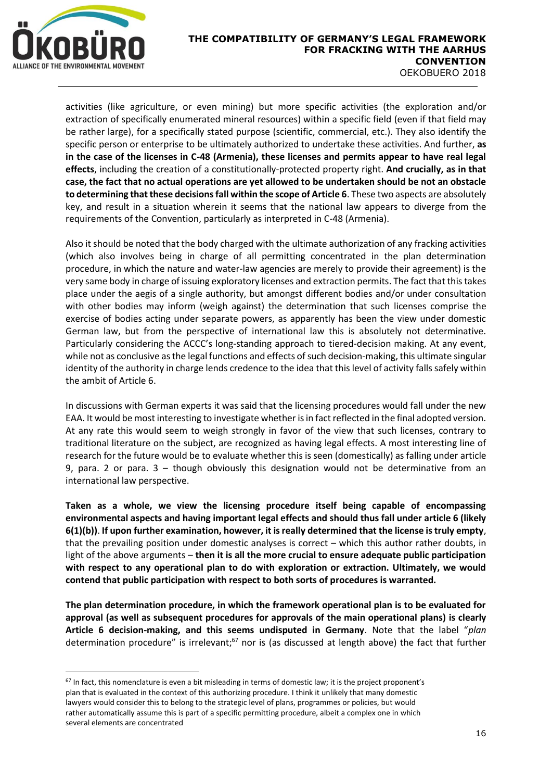

<u>.</u>

activities (like agriculture, or even mining) but more specific activities (the exploration and/or extraction of specifically enumerated mineral resources) within a specific field (even if that field may be rather large), for a specifically stated purpose (scientific, commercial, etc.). They also identify the specific person or enterprise to be ultimately authorized to undertake these activities. And further, **as in the case of the licenses in C-48 (Armenia), these licenses and permits appear to have real legal effects**, including the creation of a constitutionally-protected property right. **And crucially, as in that case, the fact that no actual operations are yet allowed to be undertaken should be not an obstacle to determining that these decisions fall within the scope of Article 6**. These two aspects are absolutely key, and result in a situation wherein it seems that the national law appears to diverge from the requirements of the Convention, particularly as interpreted in C-48 (Armenia).

Also it should be noted that the body charged with the ultimate authorization of any fracking activities (which also involves being in charge of all permitting concentrated in the plan determination procedure, in which the nature and water-law agencies are merely to provide their agreement) is the very same body in charge of issuing exploratory licenses and extraction permits. The fact that this takes place under the aegis of a single authority, but amongst different bodies and/or under consultation with other bodies may inform (weigh against) the determination that such licenses comprise the exercise of bodies acting under separate powers, as apparently has been the view under domestic German law, but from the perspective of international law this is absolutely not determinative. Particularly considering the ACCC's long-standing approach to tiered-decision making. At any event, while not as conclusive as the legal functions and effects of such decision-making, this ultimate singular identity of the authority in charge lends credence to the idea that this level of activity falls safely within the ambit of Article 6.

In discussions with German experts it was said that the licensing procedures would fall under the new EAA. It would be most interesting to investigate whether is in fact reflected in the final adopted version. At any rate this would seem to weigh strongly in favor of the view that such licenses, contrary to traditional literature on the subject, are recognized as having legal effects. A most interesting line of research for the future would be to evaluate whether this is seen (domestically) as falling under article 9, para. 2 or para. 3 – though obviously this designation would not be determinative from an international law perspective.

**Taken as a whole, we view the licensing procedure itself being capable of encompassing environmental aspects and having important legal effects and should thus fall under article 6 (likely 6(1)(b))**. **If upon further examination, however, it is really determined that the license is truly empty**, that the prevailing position under domestic analyses is correct – which this author rather doubts, in light of the above arguments – **then it is all the more crucial to ensure adequate public participation with respect to any operational plan to do with exploration or extraction. Ultimately, we would contend that public participation with respect to both sorts of procedures is warranted.**

**The plan determination procedure, in which the framework operational plan is to be evaluated for approval (as well as subsequent procedures for approvals of the main operational plans) is clearly Article 6 decision-making, and this seems undisputed in Germany**. Note that the label "*plan*  determination procedure" is irrelevant;<sup>67</sup> nor is (as discussed at length above) the fact that further

<sup>&</sup>lt;sup>67</sup> In fact, this nomenclature is even a bit misleading in terms of domestic law; it is the project proponent's plan that is evaluated in the context of this authorizing procedure. I think it unlikely that many domestic lawyers would consider this to belong to the strategic level of plans, programmes or policies, but would rather automatically assume this is part of a specific permitting procedure, albeit a complex one in which several elements are concentrated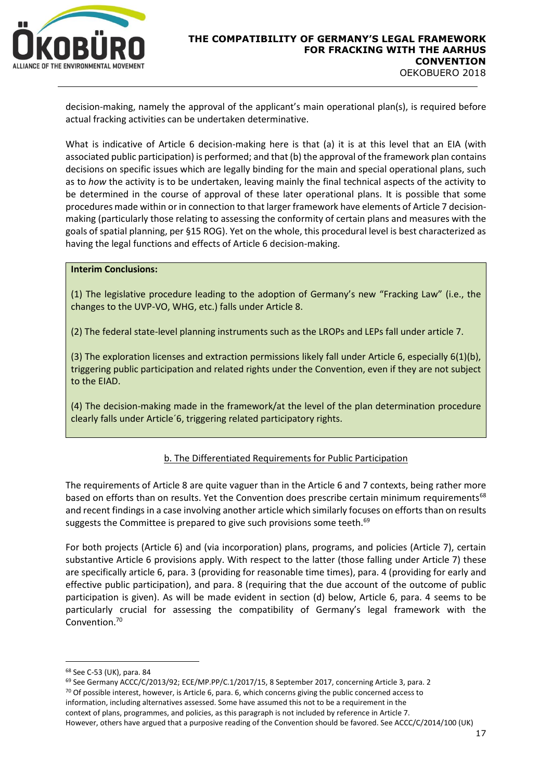

decision-making, namely the approval of the applicant's main operational plan(s), is required before actual fracking activities can be undertaken determinative.

What is indicative of Article 6 decision-making here is that (a) it is at this level that an EIA (with associated public participation) is performed; and that (b) the approval of the framework plan contains decisions on specific issues which are legally binding for the main and special operational plans, such as to *how* the activity is to be undertaken, leaving mainly the final technical aspects of the activity to be determined in the course of approval of these later operational plans. It is possible that some procedures made within or in connection to that larger framework have elements of Article 7 decisionmaking (particularly those relating to assessing the conformity of certain plans and measures with the goals of spatial planning, per §15 ROG). Yet on the whole, this procedural level is best characterized as having the legal functions and effects of Article 6 decision-making.

#### **Interim Conclusions:**

(1) The legislative procedure leading to the adoption of Germany's new "Fracking Law" (i.e., the changes to the UVP-VO, WHG, etc.) falls under Article 8.

(2) The federal state-level planning instruments such as the LROPs and LEPs fall under article 7.

(3) The exploration licenses and extraction permissions likely fall under Article 6, especially 6(1)(b), triggering public participation and related rights under the Convention, even if they are not subject to the EIAD.

(4) The decision-making made in the framework/at the level of the plan determination procedure clearly falls under Article´6, triggering related participatory rights.

## b. The Differentiated Requirements for Public Participation

The requirements of Article 8 are quite vaguer than in the Article 6 and 7 contexts, being rather more based on efforts than on results. Yet the Convention does prescribe certain minimum requirements<sup>68</sup> and recent findings in a case involving another article which similarly focuses on efforts than on results suggests the Committee is prepared to give such provisions some teeth.<sup>69</sup>

For both projects (Article 6) and (via incorporation) plans, programs, and policies (Article 7), certain substantive Article 6 provisions apply. With respect to the latter (those falling under Article 7) these are specifically article 6, para. 3 (providing for reasonable time times), para. 4 (providing for early and effective public participation), and para. 8 (requiring that the due account of the outcome of public participation is given). As will be made evident in section (d) below, Article 6, para. 4 seems to be particularly crucial for assessing the compatibility of Germany's legal framework with the Convention. 70

<sup>68</sup> See C-53 (UK), para. 84

<sup>69</sup> See Germany ACCC/C/2013/92; ECE/MP.PP/C.1/2017/15, 8 September 2017, concerning Article 3, para. 2

 $70$  Of possible interest, however, is Article 6, para. 6, which concerns giving the public concerned access to

information, including alternatives assessed. Some have assumed this not to be a requirement in the context of plans, programmes, and policies, as this paragraph is not included by reference in Article 7.

However, others have argued that a purposive reading of the Convention should be favored. See ACCC/C/2014/100 (UK)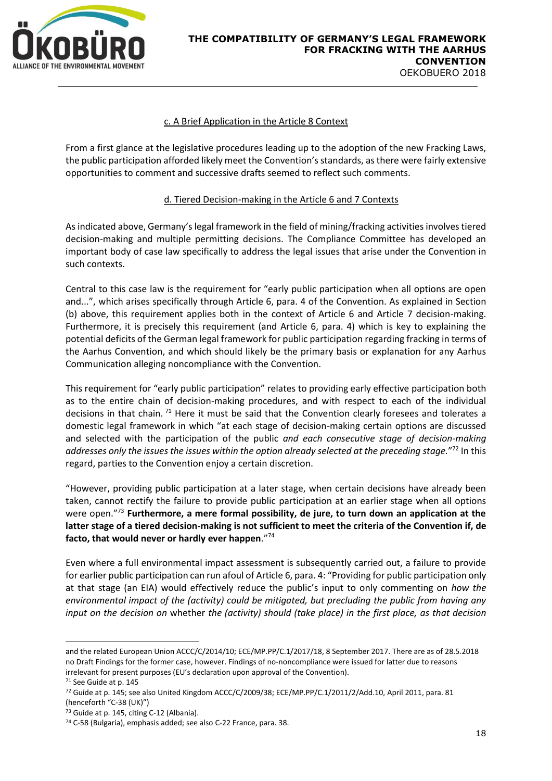

## c. A Brief Application in the Article 8 Context

From a first glance at the legislative procedures leading up to the adoption of the new Fracking Laws, the public participation afforded likely meet the Convention's standards, as there were fairly extensive opportunities to comment and successive drafts seemed to reflect such comments.

## d. Tiered Decision-making in the Article 6 and 7 Contexts

As indicated above, Germany's legal framework in the field of mining/fracking activities involves tiered decision-making and multiple permitting decisions. The Compliance Committee has developed an important body of case law specifically to address the legal issues that arise under the Convention in such contexts.

Central to this case law is the requirement for "early public participation when all options are open and...", which arises specifically through Article 6, para. 4 of the Convention. As explained in Section (b) above, this requirement applies both in the context of Article 6 and Article 7 decision-making. Furthermore, it is precisely this requirement (and Article 6, para. 4) which is key to explaining the potential deficits of the German legal framework for public participation regarding fracking in terms of the Aarhus Convention, and which should likely be the primary basis or explanation for any Aarhus Communication alleging noncompliance with the Convention.

This requirement for "early public participation" relates to providing early effective participation both as to the entire chain of decision-making procedures, and with respect to each of the individual decisions in that chain.<sup>71</sup> Here it must be said that the Convention clearly foresees and tolerates a domestic legal framework in which "at each stage of decision-making certain options are discussed and selected with the participation of the public *and each consecutive stage of decision-making*  addresses only the issues the issues within the option already selected at the preceding stage."<sup>72</sup> In this regard, parties to the Convention enjoy a certain discretion.

"However, providing public participation at a later stage, when certain decisions have already been taken, cannot rectify the failure to provide public participation at an earlier stage when all options were open."<sup>73</sup> **Furthermore, a mere formal possibility, de jure, to turn down an application at the latter stage of a tiered decision-making is not sufficient to meet the criteria of the Convention if, de facto, that would never or hardly ever happen**."<sup>74</sup>

Even where a full environmental impact assessment is subsequently carried out, a failure to provide for earlier public participation can run afoul of Article 6, para. 4: "Providing for public participation only at that stage (an EIA) would effectively reduce the public's input to only commenting on *how the environmental impact of the (activity) could be mitigated, but precluding the public from having any input on the decision on* whether *the (activity) should (take place) in the first place, as that decision* 

and the related European Union ACCC/C/2014/10; ECE/MP.PP/C.1/2017/18, 8 September 2017. There are as of 28.5.2018 no Draft Findings for the former case, however. Findings of no-noncompliance were issued for latter due to reasons irrelevant for present purposes (EU's declaration upon approval of the Convention).

<sup>71</sup> See Guide at p. 145

<sup>72</sup> Guide at p. 145; see also United Kingdom ACCC/C/2009/38; ECE/MP.PP/C.1/2011/2/Add.10, April 2011, para. 81 (henceforth "C-38 (UK)")

<sup>73</sup> Guide at p. 145, citing C-12 (Albania).

<sup>74</sup> C-58 (Bulgaria), emphasis added; see also C-22 France, para. 38.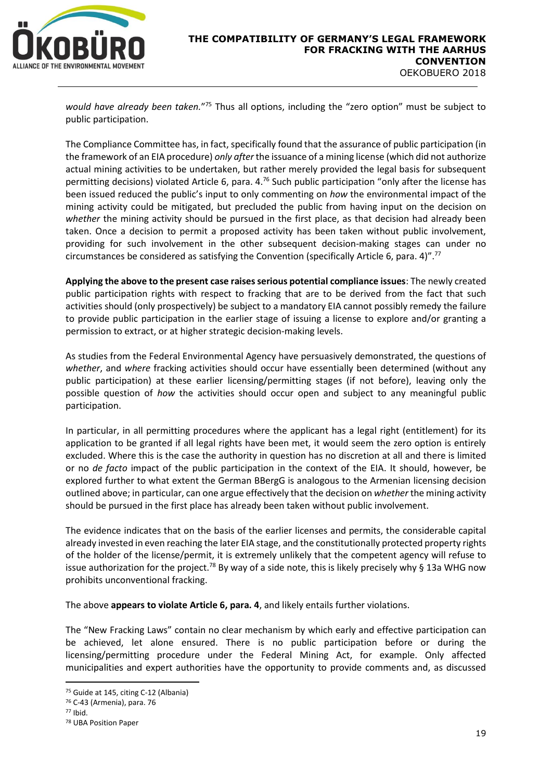

would have already been taken."<sup>75</sup> Thus all options, including the "zero option" must be subject to public participation.

The Compliance Committee has, in fact, specifically found that the assurance of public participation (in the framework of an EIA procedure) *only after* the issuance of a mining license (which did not authorize actual mining activities to be undertaken, but rather merely provided the legal basis for subsequent permitting decisions) violated Article 6, para. 4.<sup>76</sup> Such public participation "only after the license has been issued reduced the public's input to only commenting on *how* the environmental impact of the mining activity could be mitigated, but precluded the public from having input on the decision on *whether* the mining activity should be pursued in the first place, as that decision had already been taken. Once a decision to permit a proposed activity has been taken without public involvement, providing for such involvement in the other subsequent decision-making stages can under no circumstances be considered as satisfying the Convention (specifically Article 6, para. 4)".<sup>77</sup>

**Applying the above to the present case raises serious potential compliance issues**: The newly created public participation rights with respect to fracking that are to be derived from the fact that such activities should (only prospectively) be subject to a mandatory EIA cannot possibly remedy the failure to provide public participation in the earlier stage of issuing a license to explore and/or granting a permission to extract, or at higher strategic decision-making levels.

As studies from the Federal Environmental Agency have persuasively demonstrated, the questions of *whether*, and *where* fracking activities should occur have essentially been determined (without any public participation) at these earlier licensing/permitting stages (if not before), leaving only the possible question of *how* the activities should occur open and subject to any meaningful public participation.

In particular, in all permitting procedures where the applicant has a legal right (entitlement) for its application to be granted if all legal rights have been met, it would seem the zero option is entirely excluded. Where this is the case the authority in question has no discretion at all and there is limited or no *de facto* impact of the public participation in the context of the EIA. It should, however, be explored further to what extent the German BBergG is analogous to the Armenian licensing decision outlined above; in particular, can one argue effectively that the decision on *whether* the mining activity should be pursued in the first place has already been taken without public involvement.

The evidence indicates that on the basis of the earlier licenses and permits, the considerable capital already invested in even reaching the later EIA stage, and the constitutionally protected property rights of the holder of the license/permit, it is extremely unlikely that the competent agency will refuse to issue authorization for the project.<sup>78</sup> By way of a side note, this is likely precisely why § 13a WHG now prohibits unconventional fracking.

The above **appears to violate Article 6, para. 4**, and likely entails further violations.

The "New Fracking Laws" contain no clear mechanism by which early and effective participation can be achieved, let alone ensured. There is no public participation before or during the licensing/permitting procedure under the Federal Mining Act, for example. Only affected municipalities and expert authorities have the opportunity to provide comments and, as discussed

<sup>75</sup> Guide at 145, citing C-12 (Albania)

<sup>76</sup> C-43 (Armenia), para. 76

<sup>77</sup> Ibid.

<sup>78</sup> UBA Position Paper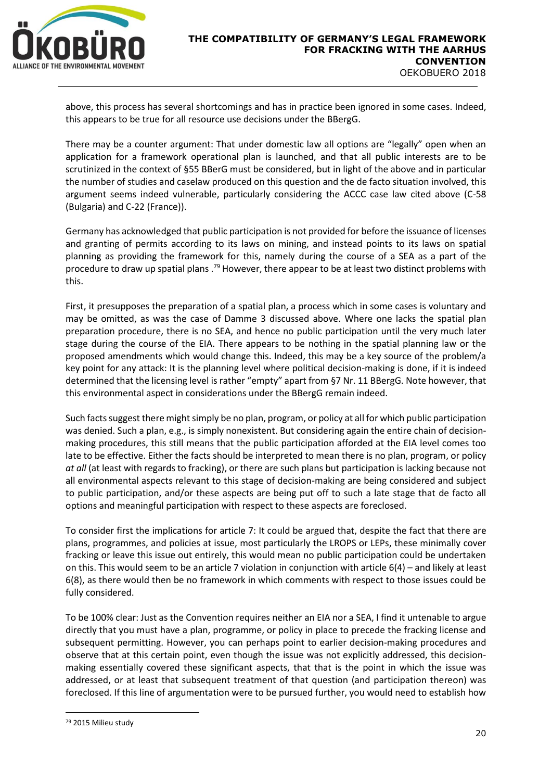

above, this process has several shortcomings and has in practice been ignored in some cases. Indeed, this appears to be true for all resource use decisions under the BBergG.

There may be a counter argument: That under domestic law all options are "legally" open when an application for a framework operational plan is launched, and that all public interests are to be scrutinized in the context of §55 BBerG must be considered, but in light of the above and in particular the number of studies and caselaw produced on this question and the de facto situation involved, this argument seems indeed vulnerable, particularly considering the ACCC case law cited above (C-58 (Bulgaria) and C-22 (France)).

Germany has acknowledged that public participation is not provided for before the issuance of licenses and granting of permits according to its laws on mining, and instead points to its laws on spatial planning as providing the framework for this, namely during the course of a SEA as a part of the procedure to draw up spatial plans . <sup>79</sup> However, there appear to be at least two distinct problems with this.

First, it presupposes the preparation of a spatial plan, a process which in some cases is voluntary and may be omitted, as was the case of Damme 3 discussed above. Where one lacks the spatial plan preparation procedure, there is no SEA, and hence no public participation until the very much later stage during the course of the EIA. There appears to be nothing in the spatial planning law or the proposed amendments which would change this. Indeed, this may be a key source of the problem/a key point for any attack: It is the planning level where political decision-making is done, if it is indeed determined that the licensing level is rather "empty" apart from §7 Nr. 11 BBergG. Note however, that this environmental aspect in considerations under the BBergG remain indeed.

Such facts suggest there might simply be no plan, program, or policy at all for which public participation was denied. Such a plan, e.g., is simply nonexistent. But considering again the entire chain of decisionmaking procedures, this still means that the public participation afforded at the EIA level comes too late to be effective. Either the facts should be interpreted to mean there is no plan, program, or policy *at all* (at least with regards to fracking), or there are such plans but participation is lacking because not all environmental aspects relevant to this stage of decision-making are being considered and subject to public participation, and/or these aspects are being put off to such a late stage that de facto all options and meaningful participation with respect to these aspects are foreclosed.

To consider first the implications for article 7: It could be argued that, despite the fact that there are plans, programmes, and policies at issue, most particularly the LROPS or LEPs, these minimally cover fracking or leave this issue out entirely, this would mean no public participation could be undertaken on this. This would seem to be an article 7 violation in conjunction with article 6(4) – and likely at least 6(8), as there would then be no framework in which comments with respect to those issues could be fully considered.

To be 100% clear: Just as the Convention requires neither an EIA nor a SEA, I find it untenable to argue directly that you must have a plan, programme, or policy in place to precede the fracking license and subsequent permitting. However, you can perhaps point to earlier decision-making procedures and observe that at this certain point, even though the issue was not explicitly addressed, this decisionmaking essentially covered these significant aspects, that that is the point in which the issue was addressed, or at least that subsequent treatment of that question (and participation thereon) was foreclosed. If this line of argumentation were to be pursued further, you would need to establish how

<sup>79</sup> 2015 Milieu study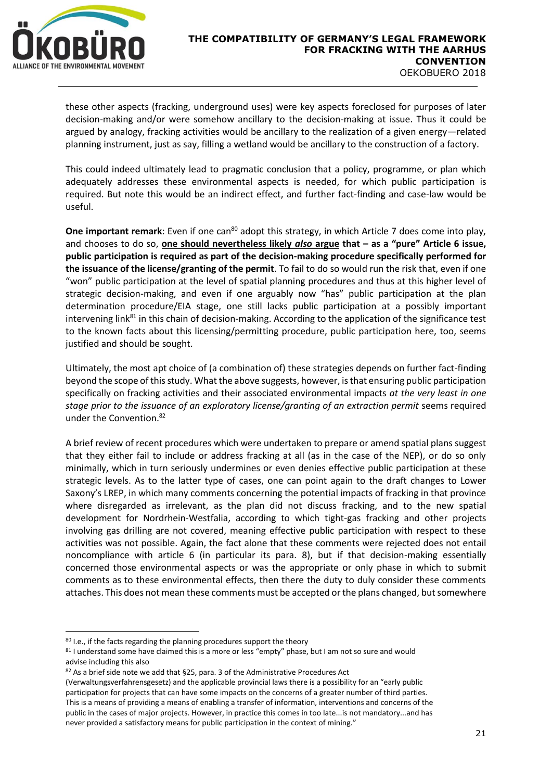

these other aspects (fracking, underground uses) were key aspects foreclosed for purposes of later decision-making and/or were somehow ancillary to the decision-making at issue. Thus it could be argued by analogy, fracking activities would be ancillary to the realization of a given energy—related planning instrument, just as say, filling a wetland would be ancillary to the construction of a factory.

This could indeed ultimately lead to pragmatic conclusion that a policy, programme, or plan which adequately addresses these environmental aspects is needed, for which public participation is required. But note this would be an indirect effect, and further fact-finding and case-law would be useful.

**One important remark**: Even if one can<sup>80</sup> adopt this strategy, in which Article 7 does come into play, and chooses to do so, **one should nevertheless likely** *also* **argue that – as a "pure" Article 6 issue, public participation is required as part of the decision-making procedure specifically performed for the issuance of the license/granting of the permit**. To fail to do so would run the risk that, even if one "won" public participation at the level of spatial planning procedures and thus at this higher level of strategic decision-making, and even if one arguably now "has" public participation at the plan determination procedure/EIA stage, one still lacks public participation at a possibly important intervening link $81$  in this chain of decision-making. According to the application of the significance test to the known facts about this licensing/permitting procedure, public participation here, too, seems justified and should be sought.

Ultimately, the most apt choice of (a combination of) these strategies depends on further fact-finding beyond the scope of this study. What the above suggests, however, is that ensuring public participation specifically on fracking activities and their associated environmental impacts *at the very least in one stage prior to the issuance of an exploratory license/granting of an extraction permit* seems required under the Convention.<sup>82</sup>

A brief review of recent procedures which were undertaken to prepare or amend spatial plans suggest that they either fail to include or address fracking at all (as in the case of the NEP), or do so only minimally, which in turn seriously undermines or even denies effective public participation at these strategic levels. As to the latter type of cases, one can point again to the draft changes to Lower Saxony's LREP, in which many comments concerning the potential impacts of fracking in that province where disregarded as irrelevant, as the plan did not discuss fracking, and to the new spatial development for Nordrhein-Westfalia, according to which tight-gas fracking and other projects involving gas drilling are not covered, meaning effective public participation with respect to these activities was not possible. Again, the fact alone that these comments were rejected does not entail noncompliance with article 6 (in particular its para. 8), but if that decision-making essentially concerned those environmental aspects or was the appropriate or only phase in which to submit comments as to these environmental effects, then there the duty to duly consider these comments attaches. This does not mean these comments must be accepted or the plans changed, but somewhere

<sup>80</sup> I.e., if the facts regarding the planning procedures support the theory

<sup>81</sup> I understand some have claimed this is a more or less "empty" phase, but I am not so sure and would advise including this also

<sup>82</sup> As a brief side note we add that §25, para. 3 of the Administrative Procedures Act

<sup>(</sup>Verwaltungsverfahrensgesetz) and the applicable provincial laws there is a possibility for an "early public participation for projects that can have some impacts on the concerns of a greater number of third parties. This is a means of providing a means of enabling a transfer of information, interventions and concerns of the public in the cases of major projects. However, in practice this comes in too late...is not mandatory...and has never provided a satisfactory means for public participation in the context of mining."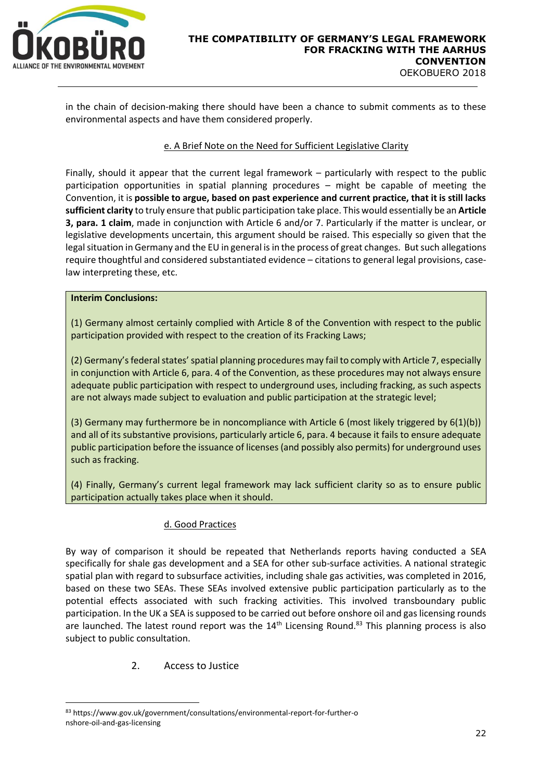

in the chain of decision-making there should have been a chance to submit comments as to these environmental aspects and have them considered properly.

## e. A Brief Note on the Need for Sufficient Legislative Clarity

Finally, should it appear that the current legal framework – particularly with respect to the public participation opportunities in spatial planning procedures – might be capable of meeting the Convention, it is **possible to argue, based on past experience and current practice, that it is still lacks sufficient clarity** to truly ensure that public participation take place. This would essentially be an **Article 3, para. 1 claim**, made in conjunction with Article 6 and/or 7. Particularly if the matter is unclear, or legislative developments uncertain, this argument should be raised. This especially so given that the legal situation in Germany and the EU in general is in the process of great changes. But such allegations require thoughtful and considered substantiated evidence – citations to general legal provisions, caselaw interpreting these, etc.

## **Interim Conclusions:**

(1) Germany almost certainly complied with Article 8 of the Convention with respect to the public participation provided with respect to the creation of its Fracking Laws;

(2) Germany's federal states'spatial planning procedures may fail to comply with Article 7, especially in conjunction with Article 6, para. 4 of the Convention, as these procedures may not always ensure adequate public participation with respect to underground uses, including fracking, as such aspects are not always made subject to evaluation and public participation at the strategic level;

(3) Germany may furthermore be in noncompliance with Article 6 (most likely triggered by 6(1)(b)) and all of its substantive provisions, particularly article 6, para. 4 because it fails to ensure adequate public participation before the issuance of licenses (and possibly also permits) for underground uses such as fracking.

(4) Finally, Germany's current legal framework may lack sufficient clarity so as to ensure public participation actually takes place when it should.

## d. Good Practices

By way of comparison it should be repeated that Netherlands reports having conducted a SEA specifically for shale gas development and a SEA for other sub-surface activities. A national strategic spatial plan with regard to subsurface activities, including shale gas activities, was completed in 2016, based on these two SEAs. These SEAs involved extensive public participation particularly as to the potential effects associated with such fracking activities. This involved transboundary public participation. In the UK a SEA is supposed to be carried out before onshore oil and gas licensing rounds are launched. The latest round report was the  $14<sup>th</sup>$  Licensing Round.<sup>83</sup> This planning process is also subject to public consultation.

## 2. Access to Justice

<span id="page-23-0"></span><sup>83</sup> https://www.gov.uk/government/consultations/environmental-report-for-further-o nshore-oil-and-gas-licensing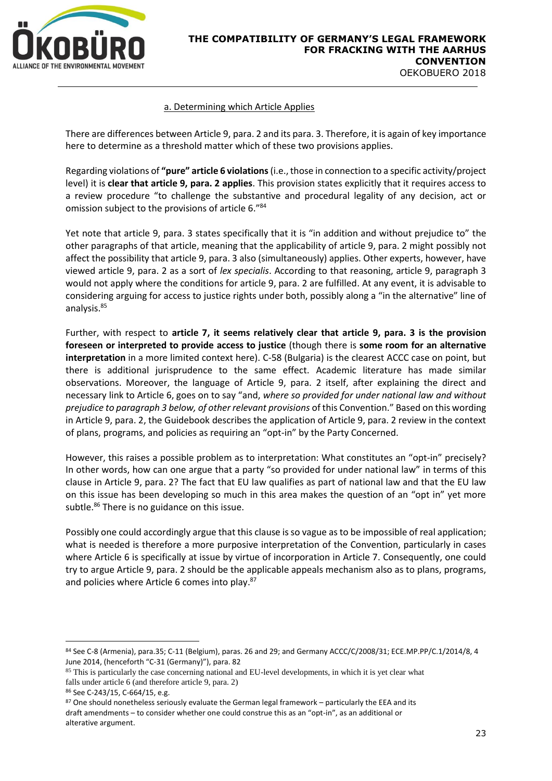

## a. Determining which Article Applies

There are differences between Article 9, para. 2 and its para. 3. Therefore, it is again of key importance here to determine as a threshold matter which of these two provisions applies.

Regarding violations of **"pure" article 6 violations**(i.e., those in connection to a specific activity/project level) it is **clear that article 9, para. 2 applies**. This provision states explicitly that it requires access to a review procedure "to challenge the substantive and procedural legality of any decision, act or omission subject to the provisions of article 6."<sup>84</sup>

Yet note that article 9, para. 3 states specifically that it is "in addition and without prejudice to" the other paragraphs of that article, meaning that the applicability of article 9, para. 2 might possibly not affect the possibility that article 9, para. 3 also (simultaneously) applies. Other experts, however, have viewed article 9, para. 2 as a sort of *lex specialis*. According to that reasoning, article 9, paragraph 3 would not apply where the conditions for article 9, para. 2 are fulfilled. At any event, it is advisable to considering arguing for access to justice rights under both, possibly along a "in the alternative" line of analysis.<sup>85</sup>

Further, with respect to **article 7, it seems relatively clear that article 9, para. 3 is the provision foreseen or interpreted to provide access to justice** (though there is **some room for an alternative interpretation** in a more limited context here). C-58 (Bulgaria) is the clearest ACCC case on point, but there is additional jurisprudence to the same effect. Academic literature has made similar observations. Moreover, the language of Article 9, para. 2 itself, after explaining the direct and necessary link to Article 6, goes on to say "and, *where so provided for under national law and without prejudice to paragraph 3 below, of other relevant provisions* of this Convention." Based on this wording in Article 9, para. 2, the Guidebook describes the application of Article 9, para. 2 review in the context of plans, programs, and policies as requiring an "opt-in" by the Party Concerned.

However, this raises a possible problem as to interpretation: What constitutes an "opt-in" precisely? In other words, how can one argue that a party "so provided for under national law" in terms of this clause in Article 9, para. 2? The fact that EU law qualifies as part of national law and that the EU law on this issue has been developing so much in this area makes the question of an "opt in" yet more subtle.<sup>86</sup> There is no guidance on this issue.

Possibly one could accordingly argue that this clause is so vague as to be impossible of real application; what is needed is therefore a more purposive interpretation of the Convention, particularly in cases where Article 6 is specifically at issue by virtue of incorporation in Article 7. Consequently, one could try to argue Article 9, para. 2 should be the applicable appeals mechanism also as to plans, programs, and policies where Article 6 comes into play.<sup>87</sup>

<sup>84</sup> See C-8 (Armenia), para.35; C-11 (Belgium), paras. 26 and 29; and Germany ACCC/C/2008/31; ECE.MP.PP/C.1/2014/8, 4 June 2014, (henceforth "C-31 (Germany)"), para. 82

<sup>&</sup>lt;sup>85</sup> This is particularly the case concerning national and EU-level developments, in which it is yet clear what falls under article 6 (and therefore article 9, para. 2)

<sup>86</sup> See C-243/15, C-664/15, e.g.

<sup>87</sup> One should nonetheless seriously evaluate the German legal framework – particularly the EEA and its draft amendments – to consider whether one could construe this as an "opt-in", as an additional or alterative argument.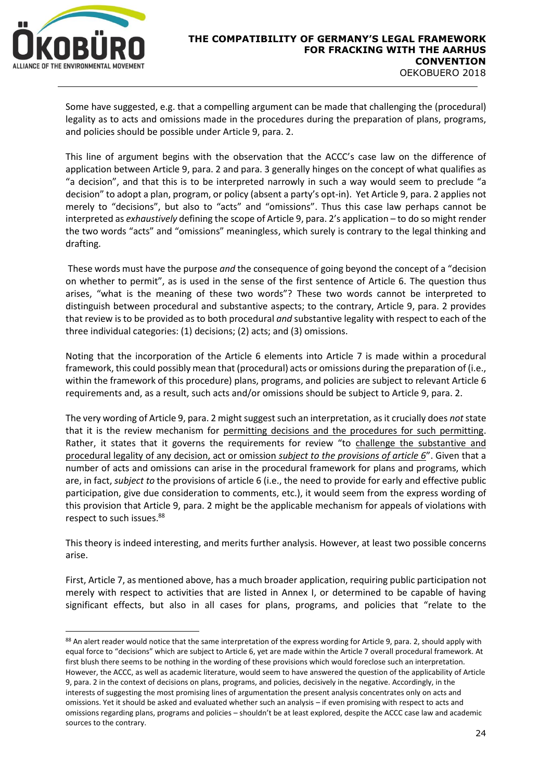

<u>.</u>

Some have suggested, e.g. that a compelling argument can be made that challenging the (procedural) legality as to acts and omissions made in the procedures during the preparation of plans, programs, and policies should be possible under Article 9, para. 2.

This line of argument begins with the observation that the ACCC's case law on the difference of application between Article 9, para. 2 and para. 3 generally hinges on the concept of what qualifies as "a decision", and that this is to be interpreted narrowly in such a way would seem to preclude "a decision" to adopt a plan, program, or policy (absent a party's opt-in). Yet Article 9, para. 2 applies not merely to "decisions", but also to "acts" and "omissions". Thus this case law perhaps cannot be interpreted as *exhaustively* defining the scope of Article 9, para. 2's application – to do so might render the two words "acts" and "omissions" meaningless, which surely is contrary to the legal thinking and drafting.

These words must have the purpose *and* the consequence of going beyond the concept of a "decision on whether to permit", as is used in the sense of the first sentence of Article 6. The question thus arises, "what is the meaning of these two words"? These two words cannot be interpreted to distinguish between procedural and substantive aspects; to the contrary, Article 9, para. 2 provides that review is to be provided as to both procedural *and* substantive legality with respect to each of the three individual categories: (1) decisions; (2) acts; and (3) omissions.

Noting that the incorporation of the Article 6 elements into Article 7 is made within a procedural framework, this could possibly mean that (procedural) acts or omissions during the preparation of (i.e., within the framework of this procedure) plans, programs, and policies are subject to relevant Article 6 requirements and, as a result, such acts and/or omissions should be subject to Article 9, para. 2.

The very wording of Article 9, para. 2 might suggest such an interpretation, as it crucially does *not*state that it is the review mechanism for permitting decisions and the procedures for such permitting. Rather, it states that it governs the requirements for review "to challenge the substantive and procedural legality of any decision, act or omission *subject to the provisions of article 6*". Given that a number of acts and omissions can arise in the procedural framework for plans and programs, which are, in fact, *subject to* the provisions of article 6 (i.e., the need to provide for early and effective public participation, give due consideration to comments, etc.), it would seem from the express wording of this provision that Article 9, para. 2 might be the applicable mechanism for appeals of violations with respect to such issues. 88

This theory is indeed interesting, and merits further analysis. However, at least two possible concerns arise.

First, Article 7, as mentioned above, has a much broader application, requiring public participation not merely with respect to activities that are listed in Annex I, or determined to be capable of having significant effects, but also in all cases for plans, programs, and policies that "relate to the

<sup>88</sup> An alert reader would notice that the same interpretation of the express wording for Article 9, para. 2, should apply with equal force to "decisions" which are subject to Article 6, yet are made within the Article 7 overall procedural framework. At first blush there seems to be nothing in the wording of these provisions which would foreclose such an interpretation. However, the ACCC, as well as academic literature, would seem to have answered the question of the applicability of Article 9, para. 2 in the context of decisions on plans, programs, and policies, decisively in the negative. Accordingly, in the interests of suggesting the most promising lines of argumentation the present analysis concentrates only on acts and omissions. Yet it should be asked and evaluated whether such an analysis – if even promising with respect to acts and omissions regarding plans, programs and policies – shouldn't be at least explored, despite the ACCC case law and academic sources to the contrary.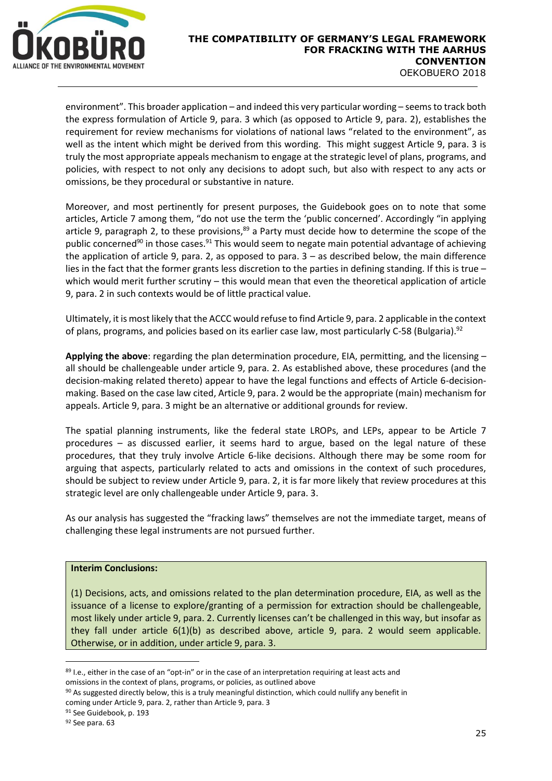

environment". This broader application – and indeed this very particular wording – seems to track both the express formulation of Article 9, para. 3 which (as opposed to Article 9, para. 2), establishes the requirement for review mechanisms for violations of national laws "related to the environment", as well as the intent which might be derived from this wording. This might suggest Article 9, para. 3 is truly the most appropriate appeals mechanism to engage at the strategic level of plans, programs, and policies, with respect to not only any decisions to adopt such, but also with respect to any acts or omissions, be they procedural or substantive in nature.

Moreover, and most pertinently for present purposes, the Guidebook goes on to note that some articles, Article 7 among them, "do not use the term the 'public concerned'. Accordingly "in applying article 9, paragraph 2, to these provisions,<sup>89</sup> a Party must decide how to determine the scope of the public concerned<sup>90</sup> in those cases.<sup>91</sup> This would seem to negate main potential advantage of achieving the application of article 9, para. 2, as opposed to para.  $3 -$  as described below, the main difference lies in the fact that the former grants less discretion to the parties in defining standing. If this is true – which would merit further scrutiny – this would mean that even the theoretical application of article 9, para. 2 in such contexts would be of little practical value.

Ultimately, it is most likely that the ACCC would refuse to find Article 9, para. 2 applicable in the context of plans, programs, and policies based on its earlier case law, most particularly C-58 (Bulgaria).<sup>92</sup>

**Applying the above**: regarding the plan determination procedure, EIA, permitting, and the licensing – all should be challengeable under article 9, para. 2. As established above, these procedures (and the decision-making related thereto) appear to have the legal functions and effects of Article 6-decisionmaking. Based on the case law cited, Article 9, para. 2 would be the appropriate (main) mechanism for appeals. Article 9, para. 3 might be an alternative or additional grounds for review.

The spatial planning instruments, like the federal state LROPs, and LEPs, appear to be Article 7 procedures – as discussed earlier, it seems hard to argue, based on the legal nature of these procedures, that they truly involve Article 6-like decisions. Although there may be some room for arguing that aspects, particularly related to acts and omissions in the context of such procedures, should be subject to review under Article 9, para. 2, it is far more likely that review procedures at this strategic level are only challengeable under Article 9, para. 3.

As our analysis has suggested the "fracking laws" themselves are not the immediate target, means of challenging these legal instruments are not pursued further.

#### **Interim Conclusions:**

(1) Decisions, acts, and omissions related to the plan determination procedure, EIA, as well as the issuance of a license to explore/granting of a permission for extraction should be challengeable, most likely under article 9, para. 2. Currently licenses can't be challenged in this way, but insofar as they fall under article 6(1)(b) as described above, article 9, para. 2 would seem applicable. Otherwise, or in addition, under article 9, para. 3.

<sup>89</sup> I.e., either in the case of an "opt-in" or in the case of an interpretation requiring at least acts and omissions in the context of plans, programs, or policies, as outlined above

<sup>90</sup> As suggested directly below, this is a truly meaningful distinction, which could nullify any benefit in coming under Article 9, para. 2, rather than Article 9, para. 3

<sup>91</sup> See Guidebook, p. 193

<sup>92</sup> See para. 63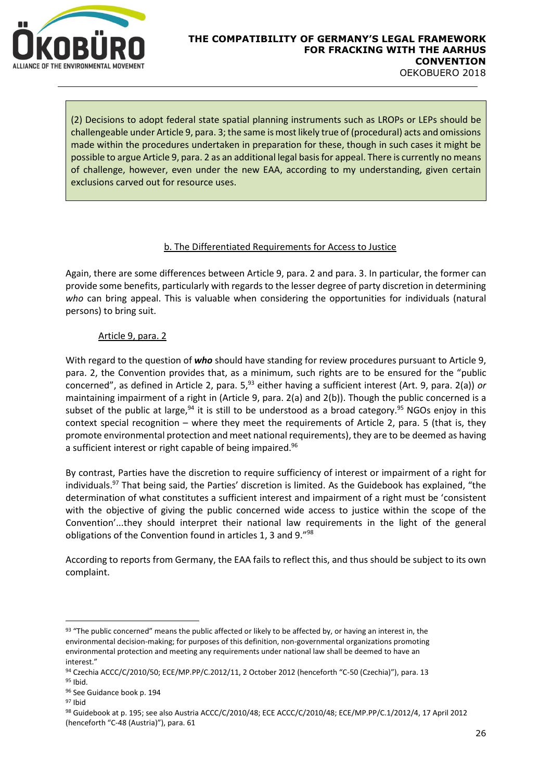

# **THE COMPATIBILITY OF GERMANY'S LEGAL FRAMEWORK FOR FRACKING WITH THE AARHUS CONVENTION**

OEKOBUERO 2018

(2) Decisions to adopt federal state spatial planning instruments such as LROPs or LEPs should be challengeable under Article 9, para. 3; the same is most likely true of (procedural) acts and omissions made within the procedures undertaken in preparation for these, though in such cases it might be possible to argue Article 9, para. 2 as an additional legal basis for appeal. There is currently no means of challenge, however, even under the new EAA, according to my understanding, given certain exclusions carved out for resource uses.

## b. The Differentiated Requirements for Access to Justice

Again, there are some differences between Article 9, para. 2 and para. 3. In particular, the former can provide some benefits, particularly with regards to the lesser degree of party discretion in determining *who* can bring appeal. This is valuable when considering the opportunities for individuals (natural persons) to bring suit.

## Article 9, para. 2

With regard to the question of *who* should have standing for review procedures pursuant to Article 9, para. 2, the Convention provides that, as a minimum, such rights are to be ensured for the "public concerned", as defined in Article 2, para. 5,<sup>93</sup> either having a sufficient interest (Art. 9, para. 2(a)) or maintaining impairment of a right in (Article 9, para. 2(a) and 2(b)). Though the public concerned is a subset of the public at large,  $94$  it is still to be understood as a broad category.  $95$  NGOs enjoy in this context special recognition – where they meet the requirements of Article 2, para. 5 (that is, they promote environmental protection and meet national requirements), they are to be deemed as having a sufficient interest or right capable of being impaired.<sup>96</sup>

By contrast, Parties have the discretion to require sufficiency of interest or impairment of a right for individuals.<sup>97</sup> That being said, the Parties' discretion is limited. As the Guidebook has explained, "the determination of what constitutes a sufficient interest and impairment of a right must be 'consistent with the objective of giving the public concerned wide access to justice within the scope of the Convention'...they should interpret their national law requirements in the light of the general obligations of the Convention found in articles 1, 3 and 9."<sup>98</sup>

According to reports from Germany, the EAA fails to reflect this, and thus should be subject to its own complaint.

<sup>93 &</sup>quot;The public concerned" means the public affected or likely to be affected by, or having an interest in, the environmental decision-making; for purposes of this definition, non-governmental organizations promoting environmental protection and meeting any requirements under national law shall be deemed to have an interest."

<sup>94</sup> Czechia ACCC/C/2010/50; ECE/MP.PP/C.2012/11, 2 October 2012 (henceforth "C-50 (Czechia)"), para. 13 <sup>95</sup> Ibid.

<sup>96</sup> See Guidance book p. 194

<sup>97</sup> Ibid

<sup>98</sup> Guidebook at p. 195; see also Austria ACCC/C/2010/48; ECE ACCC/C/2010/48; ECE/MP.PP/C.1/2012/4, 17 April 2012 (henceforth "C-48 (Austria)"), para. 61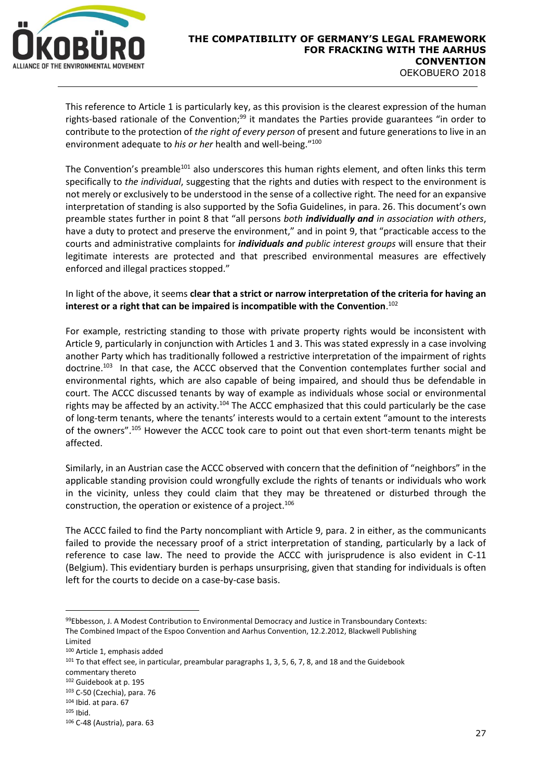

This reference to Article 1 is particularly key, as this provision is the clearest expression of the human rights-based rationale of the Convention;<sup>99</sup> it mandates the Parties provide guarantees "in order to contribute to the protection of *the right of every person* of present and future generations to live in an environment adequate to *his or her* health and well-being."<sup>100</sup>

The Convention's preamble<sup>101</sup> also underscores this human rights element, and often links this term specifically to *the individual*, suggesting that the rights and duties with respect to the environment is not merely or exclusively to be understood in the sense of a collective right*.* The need for an expansive interpretation of standing is also supported by the Sofia Guidelines, in para. 26. This document's own preamble states further in point 8 that "all persons *both individually and in association with others*, have a duty to protect and preserve the environment," and in point 9, that "practicable access to the courts and administrative complaints for *individuals and public interest groups* will ensure that their legitimate interests are protected and that prescribed environmental measures are effectively enforced and illegal practices stopped."

In light of the above, it seems **clear that a strict or narrow interpretation of the criteria for having an interest or a right that can be impaired is incompatible with the Convention**. 102

For example, restricting standing to those with private property rights would be inconsistent with Article 9, particularly in conjunction with Articles 1 and 3. This was stated expressly in a case involving another Party which has traditionally followed a restrictive interpretation of the impairment of rights doctrine.<sup>103</sup> In that case, the ACCC observed that the Convention contemplates further social and environmental rights, which are also capable of being impaired, and should thus be defendable in court. The ACCC discussed tenants by way of example as individuals whose social or environmental rights may be affected by an activity.<sup>104</sup> The ACCC emphasized that this could particularly be the case of long-term tenants, where the tenants' interests would to a certain extent "amount to the interests of the owners".<sup>105</sup> However the ACCC took care to point out that even short-term tenants might be affected.

Similarly, in an Austrian case the ACCC observed with concern that the definition of "neighbors" in the applicable standing provision could wrongfully exclude the rights of tenants or individuals who work in the vicinity, unless they could claim that they may be threatened or disturbed through the construction, the operation or existence of a project.<sup>106</sup>

The ACCC failed to find the Party noncompliant with Article 9, para. 2 in either, as the communicants failed to provide the necessary proof of a strict interpretation of standing, particularly by a lack of reference to case law. The need to provide the ACCC with jurisprudence is also evident in C-11 (Belgium). This evidentiary burden is perhaps unsurprising, given that standing for individuals is often left for the courts to decide on a case-by-case basis.

<sup>99</sup>Ebbesson, J. A Modest Contribution to Environmental Democracy and Justice in Transboundary Contexts: The Combined Impact of the Espoo Convention and Aarhus Convention, 12.2.2012, Blackwell Publishing Limited

<sup>100</sup> Article 1, emphasis added

<sup>&</sup>lt;sup>101</sup> To that effect see, in particular, preambular paragraphs 1, 3, 5, 6, 7, 8, and 18 and the Guidebook

commentary thereto

<sup>102</sup> Guidebook at p. 195

<sup>103</sup> C-50 (Czechia), para. 76

<sup>104</sup> Ibid. at para. 67

<sup>105</sup> Ibid.

<sup>106</sup> C-48 (Austria), para. 63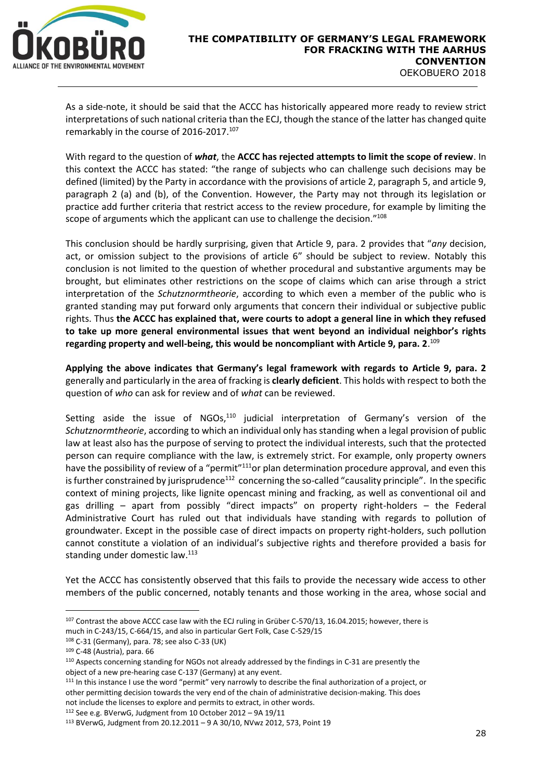

As a side-note, it should be said that the ACCC has historically appeared more ready to review strict interpretations of such national criteria than the ECJ, though the stance of the latter has changed quite remarkably in the course of 2016-2017. 107

With regard to the question of *what*, the **ACCC has rejected attempts to limit the scope of review**. In this context the ACCC has stated: "the range of subjects who can challenge such decisions may be defined (limited) by the Party in accordance with the provisions of article 2, paragraph 5, and article 9, paragraph 2 (a) and (b), of the Convention. However, the Party may not through its legislation or practice add further criteria that restrict access to the review procedure, for example by limiting the scope of arguments which the applicant can use to challenge the decision."<sup>108</sup>

This conclusion should be hardly surprising, given that Article 9, para. 2 provides that "*any* decision, act, or omission subject to the provisions of article 6" should be subject to review. Notably this conclusion is not limited to the question of whether procedural and substantive arguments may be brought, but eliminates other restrictions on the scope of claims which can arise through a strict interpretation of the *Schutznormtheorie*, according to which even a member of the public who is granted standing may put forward only arguments that concern their individual or subjective public rights. Thus **the ACCC has explained that, were courts to adopt a general line in which they refused to take up more general environmental issues that went beyond an individual neighbor's rights regarding property and well-being, this would be noncompliant with Article 9, para. 2**. 109

**Applying the above indicates that Germany's legal framework with regards to Article 9, para. 2** generally and particularly in the area of fracking is **clearly deficient**. This holds with respect to both the question of *who* can ask for review and of *what* can be reviewed.

Setting aside the issue of  $NGOs<sub>110</sub>$  judicial interpretation of Germany's version of the *Schutznormtheorie*, according to which an individual only has standing when a legal provision of public law at least also has the purpose of serving to protect the individual interests, such that the protected person can require compliance with the law, is extremely strict. For example, only property owners have the possibility of review of a "permit"<sup>111</sup>or plan determination procedure approval, and even this is further constrained by jurisprudence<sup>112</sup> concerning the so-called "causality principle". In the specific context of mining projects, like lignite opencast mining and fracking, as well as conventional oil and gas drilling – apart from possibly "direct impacts" on property right-holders – the Federal Administrative Court has ruled out that individuals have standing with regards to pollution of groundwater. Except in the possible case of direct impacts on property right-holders, such pollution cannot constitute a violation of an individual's subjective rights and therefore provided a basis for standing under domestic law.<sup>113</sup>

Yet the ACCC has consistently observed that this fails to provide the necessary wide access to other members of the public concerned, notably tenants and those working in the area, whose social and

<sup>&</sup>lt;sup>107</sup> Contrast the above ACCC case law with the ECJ ruling in Grüber C-570/13, 16.04.2015; however, there is much in C-243/15, C-664/15, and also in particular Gert Folk, Case C-529/15

<sup>108</sup> C-31 (Germany), para. 78; see also C-33 (UK)

<sup>109</sup> C-48 (Austria), para. 66

<sup>110</sup> Aspects concerning standing for NGOs not already addressed by the findings in C-31 are presently the object of a new pre-hearing case C-137 (Germany) at any event.

<sup>&</sup>lt;sup>111</sup> In this instance I use the word "permit" very narrowly to describe the final authorization of a project, or other permitting decision towards the very end of the chain of administrative decision-making. This does not include the licenses to explore and permits to extract, in other words.

<sup>112</sup> See e.g. BVerwG, Judgment from 10 October 2012 – 9A 19/11

<sup>113</sup> BVerwG, Judgment from 20.12.2011 – 9 A 30/10, NVwz 2012, 573, Point 19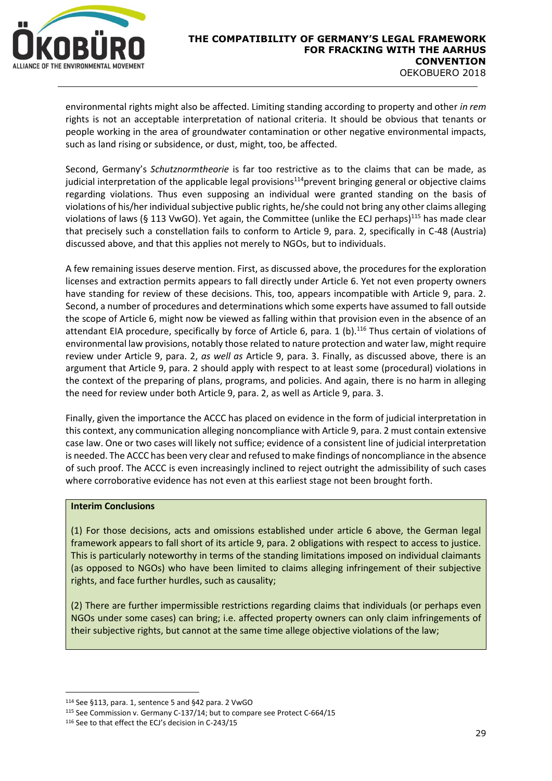

environmental rights might also be affected. Limiting standing according to property and other *in rem* rights is not an acceptable interpretation of national criteria. It should be obvious that tenants or people working in the area of groundwater contamination or other negative environmental impacts, such as land rising or subsidence, or dust, might, too, be affected.

Second, Germany's *Schutznormtheorie* is far too restrictive as to the claims that can be made, as judicial interpretation of the applicable legal provisions<sup>114</sup> prevent bringing general or objective claims regarding violations. Thus even supposing an individual were granted standing on the basis of violations of his/her individual subjective public rights, he/she could not bring any other claims alleging violations of laws (§ 113 VwGO). Yet again, the Committee (unlike the ECJ perhaps)<sup>115</sup> has made clear that precisely such a constellation fails to conform to Article 9, para. 2, specifically in C-48 (Austria) discussed above, and that this applies not merely to NGOs, but to individuals.

A few remaining issues deserve mention. First, as discussed above, the procedures for the exploration licenses and extraction permits appears to fall directly under Article 6. Yet not even property owners have standing for review of these decisions. This, too, appears incompatible with Article 9, para. 2. Second, a number of procedures and determinations which some experts have assumed to fall outside the scope of Article 6, might now be viewed as falling within that provision even in the absence of an attendant EIA procedure, specifically by force of Article 6, para. 1 (b).<sup>116</sup> Thus certain of violations of environmental law provisions, notably those related to nature protection and water law, might require review under Article 9, para. 2, *as well as* Article 9, para. 3. Finally, as discussed above, there is an argument that Article 9, para. 2 should apply with respect to at least some (procedural) violations in the context of the preparing of plans, programs, and policies. And again, there is no harm in alleging the need for review under both Article 9, para. 2, as well as Article 9, para. 3.

Finally, given the importance the ACCC has placed on evidence in the form of judicial interpretation in this context, any communication alleging noncompliance with Article 9, para. 2 must contain extensive case law. One or two cases will likely not suffice; evidence of a consistent line of judicial interpretation is needed. The ACCC has been very clear and refused to make findings of noncompliance in the absence of such proof. The ACCC is even increasingly inclined to reject outright the admissibility of such cases where corroborative evidence has not even at this earliest stage not been brought forth.

## **Interim Conclusions**

1

(1) For those decisions, acts and omissions established under article 6 above, the German legal framework appears to fall short of its article 9, para. 2 obligations with respect to access to justice. This is particularly noteworthy in terms of the standing limitations imposed on individual claimants (as opposed to NGOs) who have been limited to claims alleging infringement of their subjective rights, and face further hurdles, such as causality;

(2) There are further impermissible restrictions regarding claims that individuals (or perhaps even NGOs under some cases) can bring; i.e. affected property owners can only claim infringements of their subjective rights, but cannot at the same time allege objective violations of the law;

<sup>114</sup> See §113, para. 1, sentence 5 and §42 para. 2 VwGO

<sup>115</sup> See Commission v. Germany C-137/14; but to compare see Protect C-664/15

<sup>116</sup> See to that effect the ECJ's decision in C-243/15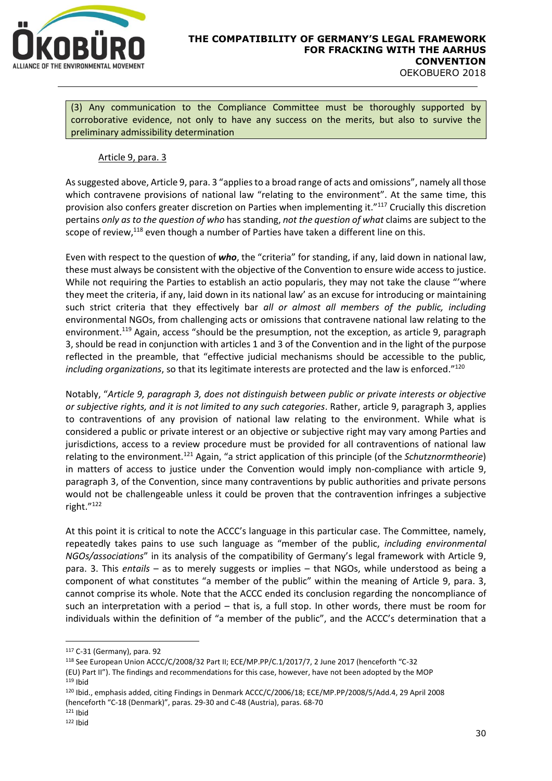

(3) Any communication to the Compliance Committee must be thoroughly supported by corroborative evidence, not only to have any success on the merits, but also to survive the preliminary admissibility determination

## Article 9, para. 3

As suggested above, Article 9, para. 3 "applies to a broad range of acts and omissions", namely all those which contravene provisions of national law "relating to the environment". At the same time, this provision also confers greater discretion on Parties when implementing it."<sup>117</sup> Crucially this discretion pertains *only as to the question of who* has standing, *not the question of what* claims are subject to the scope of review,<sup>118</sup> even though a number of Parties have taken a different line on this.

Even with respect to the question of *who*, the "criteria" for standing, if any, laid down in national law, these must always be consistent with the objective of the Convention to ensure wide access to justice. While not requiring the Parties to establish an actio popularis, they may not take the clause "'where they meet the criteria, if any, laid down in its national law' as an excuse for introducing or maintaining such strict criteria that they effectively bar *all or almost all members of the public, including* environmental NGOs, from challenging acts or omissions that contravene national law relating to the environment.<sup>119</sup> Again, access "should be the presumption, not the exception, as article 9, paragraph 3, should be read in conjunction with articles 1 and 3 of the Convention and in the light of the purpose reflected in the preamble, that "effective judicial mechanisms should be accessible to the public*,*  including organizations, so that its legitimate interests are protected and the law is enforced.<sup>"120</sup>

Notably, "*Article 9, paragraph 3, does not distinguish between public or private interests or objective or subjective rights, and it is not limited to any such categories*. Rather, article 9, paragraph 3, applies to contraventions of any provision of national law relating to the environment. While what is considered a public or private interest or an objective or subjective right may vary among Parties and jurisdictions, access to a review procedure must be provided for all contraventions of national law relating to the environment.<sup>121</sup> Again, "a strict application of this principle (of the *Schutznormtheorie*) in matters of access to justice under the Convention would imply non-compliance with article 9, paragraph 3, of the Convention, since many contraventions by public authorities and private persons would not be challengeable unless it could be proven that the contravention infringes a subjective right." 122

At this point it is critical to note the ACCC's language in this particular case. The Committee, namely, repeatedly takes pains to use such language as "member of the public, *including environmental NGOs/associations*" in its analysis of the compatibility of Germany's legal framework with Article 9, para. 3. This *entails* – as to merely suggests or implies – that NGOs, while understood as being a component of what constitutes "a member of the public" within the meaning of Article 9, para. 3, cannot comprise its whole. Note that the ACCC ended its conclusion regarding the noncompliance of such an interpretation with a period – that is, a full stop. In other words, there must be room for individuals within the definition of "a member of the public", and the ACCC's determination that a

<sup>117</sup> C-31 (Germany), para. 92

<sup>118</sup> See European Union ACCC/C/2008/32 Part II; ECE/MP.PP/C.1/2017/7, 2 June 2017 (henceforth "C-32 (EU) Part II"). The findings and recommendations for this case, however, have not been adopted by the MOP <sup>119</sup> Ibid

<sup>120</sup> Ibid., emphasis added, citing Findings in Denmark ACCC/C/2006/18; ECE/MP.PP/2008/5/Add.4, 29 April 2008 (henceforth "C-18 (Denmark)", paras. 29-30 and C-48 (Austria), paras. 68-70

 $121$  Ibid <sup>122</sup> Ibid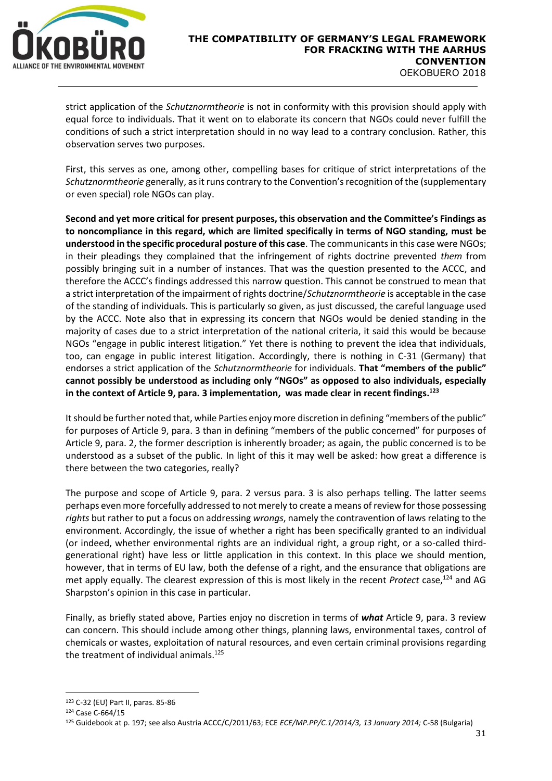

strict application of the *Schutznormtheorie* is not in conformity with this provision should apply with equal force to individuals. That it went on to elaborate its concern that NGOs could never fulfill the conditions of such a strict interpretation should in no way lead to a contrary conclusion. Rather, this observation serves two purposes.

First, this serves as one, among other, compelling bases for critique of strict interpretations of the *Schutznormtheorie* generally, as it runs contrary to the Convention's recognition of the (supplementary or even special) role NGOs can play.

**Second and yet more critical for present purposes, this observation and the Committee's Findings as to noncompliance in this regard, which are limited specifically in terms of NGO standing, must be understood in the specific procedural posture of this case**. The communicants in this case were NGOs; in their pleadings they complained that the infringement of rights doctrine prevented *them* from possibly bringing suit in a number of instances. That was the question presented to the ACCC, and therefore the ACCC's findings addressed this narrow question. This cannot be construed to mean that a strict interpretation of the impairment of rights doctrine/*Schutznormtheorie* is acceptable in the case of the standing of individuals. This is particularly so given, as just discussed, the careful language used by the ACCC. Note also that in expressing its concern that NGOs would be denied standing in the majority of cases due to a strict interpretation of the national criteria, it said this would be because NGOs "engage in public interest litigation." Yet there is nothing to prevent the idea that individuals, too, can engage in public interest litigation. Accordingly, there is nothing in C-31 (Germany) that endorses a strict application of the *Schutznormtheorie* for individuals. **That "members of the public" cannot possibly be understood as including only "NGOs" as opposed to also individuals, especially in the context of Article 9, para. 3 implementation, was made clear in recent findings. 123**

It should be further noted that, while Parties enjoy more discretion in defining "members of the public" for purposes of Article 9, para. 3 than in defining "members of the public concerned" for purposes of Article 9, para. 2, the former description is inherently broader; as again, the public concerned is to be understood as a subset of the public. In light of this it may well be asked: how great a difference is there between the two categories, really?

The purpose and scope of Article 9, para. 2 versus para. 3 is also perhaps telling. The latter seems perhaps even more forcefully addressed to not merely to create a means of review for those possessing *rights* but rather to put a focus on addressing *wrongs*, namely the contravention of laws relating to the environment. Accordingly, the issue of whether a right has been specifically granted to an individual (or indeed, whether environmental rights are an individual right, a group right, or a so-called thirdgenerational right) have less or little application in this context. In this place we should mention, however, that in terms of EU law, both the defense of a right, and the ensurance that obligations are met apply equally. The clearest expression of this is most likely in the recent *Protect* case,<sup>124</sup> and AG Sharpston's opinion in this case in particular.

Finally, as briefly stated above, Parties enjoy no discretion in terms of *what* Article 9, para. 3 review can concern. This should include among other things, planning laws, environmental taxes, control of chemicals or wastes, exploitation of natural resources, and even certain criminal provisions regarding the treatment of individual animals.<sup>125</sup>

<sup>123</sup> C-32 (EU) Part II, paras. 85-86

<sup>124</sup> Case C-664/15

<sup>125</sup> Guidebook at p. 197; see also Austria ACCC/C/2011/63; ECE *ECE/MP.PP/C.1/2014/3, 13 January 2014;* C-58 (Bulgaria)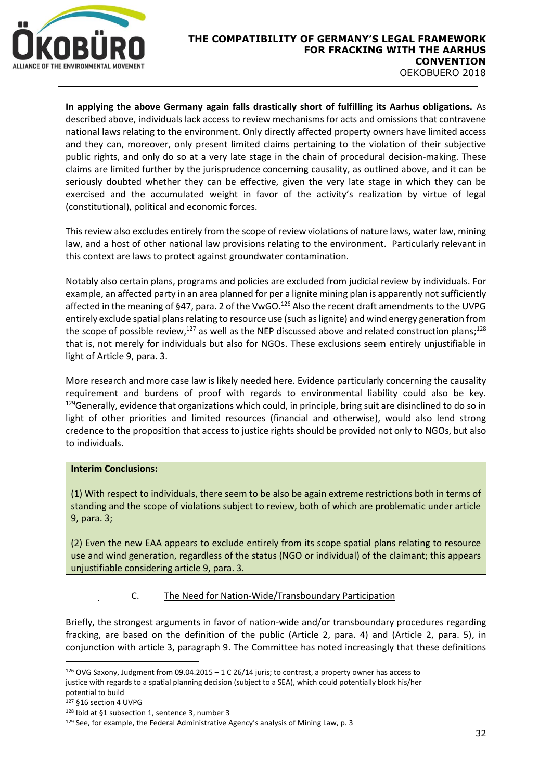

**In applying the above Germany again falls drastically short of fulfilling its Aarhus obligations.** As described above, individuals lack access to review mechanisms for acts and omissions that contravene national laws relating to the environment. Only directly affected property owners have limited access and they can, moreover, only present limited claims pertaining to the violation of their subjective public rights, and only do so at a very late stage in the chain of procedural decision-making. These claims are limited further by the jurisprudence concerning causality, as outlined above, and it can be seriously doubted whether they can be effective, given the very late stage in which they can be exercised and the accumulated weight in favor of the activity's realization by virtue of legal (constitutional), political and economic forces.

This review also excludes entirely from the scope of review violations of nature laws, water law, mining law, and a host of other national law provisions relating to the environment. Particularly relevant in this context are laws to protect against groundwater contamination.

Notably also certain plans, programs and policies are excluded from judicial review by individuals. For example, an affected party in an area planned for per a lignite mining plan is apparently not sufficiently affected in the meaning of §47, para. 2 of the VwGO.<sup>126</sup> Also the recent draft amendments to the UVPG entirely exclude spatial plans relating to resource use (such as lignite) and wind energy generation from the scope of possible review,<sup>127</sup> as well as the NEP discussed above and related construction plans;<sup>128</sup> that is, not merely for individuals but also for NGOs. These exclusions seem entirely unjustifiable in light of Article 9, para. 3.

More research and more case law is likely needed here. Evidence particularly concerning the causality requirement and burdens of proof with regards to environmental liability could also be key.  $129$ Generally, evidence that organizations which could, in principle, bring suit are disinclined to do so in light of other priorities and limited resources (financial and otherwise), would also lend strong credence to the proposition that access to justice rights should be provided not only to NGOs, but also to individuals.

## **Interim Conclusions:**

(1) With respect to individuals, there seem to be also be again extreme restrictions both in terms of standing and the scope of violations subject to review, both of which are problematic under article 9, para. 3;

(2) Even the new EAA appears to exclude entirely from its scope spatial plans relating to resource use and wind generation, regardless of the status (NGO or individual) of the claimant; this appears unjustifiable considering article 9, para. 3.

## <span id="page-33-0"></span>C. The Need for Nation-Wide/Transboundary Participation

Briefly, the strongest arguments in favor of nation-wide and/or transboundary procedures regarding fracking, are based on the definition of the public (Article 2, para. 4) and (Article 2, para. 5), in conjunction with article 3, paragraph 9. The Committee has noted increasingly that these definitions

<sup>&</sup>lt;sup>126</sup> OVG Saxony, Judgment from 09.04.2015 – 1 C 26/14 juris; to contrast, a property owner has access to justice with regards to a spatial planning decision (subject to a SEA), which could potentially block his/her potential to build

<sup>127</sup> §16 section 4 UVPG

<sup>128</sup> Ibid at §1 subsection 1, sentence 3, number 3

<sup>&</sup>lt;sup>129</sup> See, for example, the Federal Administrative Agency's analysis of Mining Law, p. 3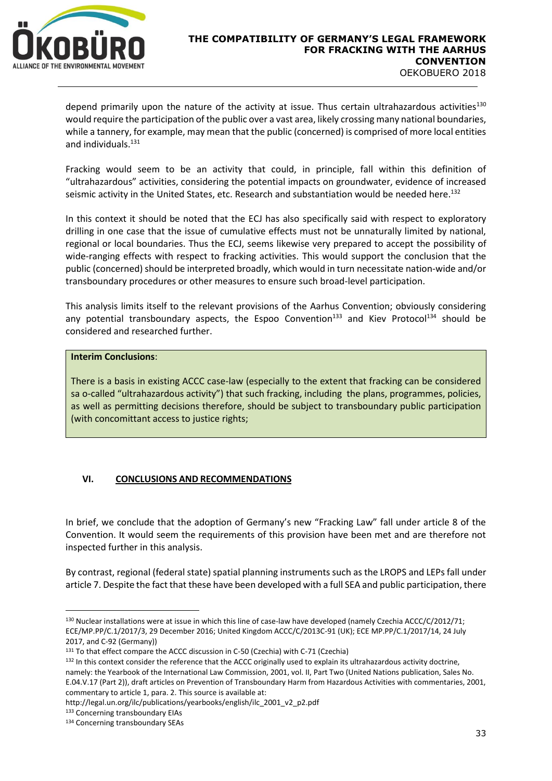

depend primarily upon the nature of the activity at issue. Thus certain ultrahazardous activities<sup>130</sup> would require the participation of the public over a vast area, likely crossing many national boundaries, while a tannery, for example, may mean that the public (concerned) is comprised of more local entities and individuals.<sup>131</sup>

Fracking would seem to be an activity that could, in principle, fall within this definition of "ultrahazardous" activities, considering the potential impacts on groundwater, evidence of increased seismic activity in the United States, etc. Research and substantiation would be needed here.<sup>132</sup>

In this context it should be noted that the ECJ has also specifically said with respect to exploratory drilling in one case that the issue of cumulative effects must not be unnaturally limited by national, regional or local boundaries. Thus the ECJ, seems likewise very prepared to accept the possibility of wide-ranging effects with respect to fracking activities. This would support the conclusion that the public (concerned) should be interpreted broadly, which would in turn necessitate nation-wide and/or transboundary procedures or other measures to ensure such broad-level participation.

This analysis limits itself to the relevant provisions of the Aarhus Convention; obviously considering any potential transboundary aspects, the Espoo Convention<sup>133</sup> and Kiev Protocol<sup>134</sup> should be considered and researched further.

#### **Interim Conclusions**:

There is a basis in existing ACCC case-law (especially to the extent that fracking can be considered sa o-called "ultrahazardous activity") that such fracking, including the plans, programmes, policies, as well as permitting decisions therefore, should be subject to transboundary public participation (with concomittant access to justice rights;

## <span id="page-34-0"></span>**VI. CONCLUSIONS AND RECOMMENDATIONS**

In brief, we conclude that the adoption of Germany's new "Fracking Law" fall under article 8 of the Convention. It would seem the requirements of this provision have been met and are therefore not inspected further in this analysis.

By contrast, regional (federal state) spatial planning instruments such as the LROPS and LEPs fall under article 7. Despite the fact that these have been developed with a full SEA and public participation, there

132 In this context consider the reference that the ACCC originally used to explain its ultrahazardous activity doctrine, namely: the Yearbook of the International Law Commission, 2001, vol. II, Part Two (United Nations publication, Sales No. E.04.V.17 (Part 2)), draft articles on Prevention of Transboundary Harm from Hazardous Activities with commentaries, 2001,

commentary to article 1, para. 2. This source is available at:

133 Concerning transboundary EIAs

<sup>130</sup> Nuclear installations were at issue in which this line of case-law have developed (namely Czechia ACCC/C/2012/71; ECE/MP.PP/C.1/2017/3, 29 December 2016; United Kingdom ACCC/C/2013C-91 (UK); ECE MP.PP/C.1/2017/14, 24 July 2017, and C-92 (Germany))

<sup>131</sup> To that effect compare the ACCC discussion in C-50 (Czechia) with C-71 (Czechia)

http://legal.un.org/ilc/publications/yearbooks/english/ilc\_2001\_v2\_p2.pdf

<sup>134</sup> Concerning transboundary SEAs